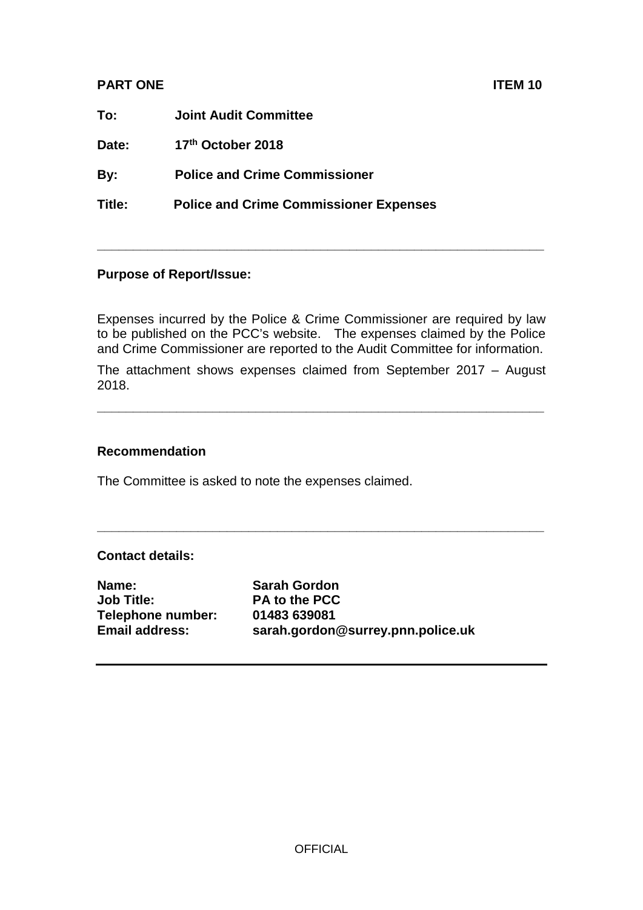## **PART ONE** ITEM 10

| To:    | <b>Joint Audit Committee</b>                  |
|--------|-----------------------------------------------|
| Date:  | 17th October 2018                             |
| By:    | <b>Police and Crime Commissioner</b>          |
| Title: | <b>Police and Crime Commissioner Expenses</b> |
|        |                                               |

## **Purpose of Report/Issue:**

Expenses incurred by the Police & Crime Commissioner are required by law to be published on the PCC's website. The expenses claimed by the Police and Crime Commissioner are reported to the Audit Committee for information.

**\_\_\_\_\_\_\_\_\_\_\_\_\_\_\_\_\_\_\_\_\_\_\_\_\_\_\_\_\_\_\_\_\_\_\_\_\_\_\_\_\_\_\_\_\_\_\_\_\_\_\_\_\_\_\_\_\_\_\_\_\_\_**

The attachment shows expenses claimed from September 2017 – August 2018.

**\_\_\_\_\_\_\_\_\_\_\_\_\_\_\_\_\_\_\_\_\_\_\_\_\_\_\_\_\_\_\_\_\_\_\_\_\_\_\_\_\_\_\_\_\_\_\_\_\_\_\_\_\_\_\_\_\_\_\_\_\_\_**

**\_\_\_\_\_\_\_\_\_\_\_\_\_\_\_\_\_\_\_\_\_\_\_\_\_\_\_\_\_\_\_\_\_\_\_\_\_\_\_\_\_\_\_\_\_\_\_\_\_\_\_\_\_\_\_\_\_\_\_\_\_\_**

## **Recommendation**

The Committee is asked to note the expenses claimed.

## **Contact details:**

**Name: Sarah Gordon**<br> **Job Title: PA to the PCC Telephone number: 01483 639081**

**PA to the PCC Email address: sarah.gordon@surrey.pnn.police.uk**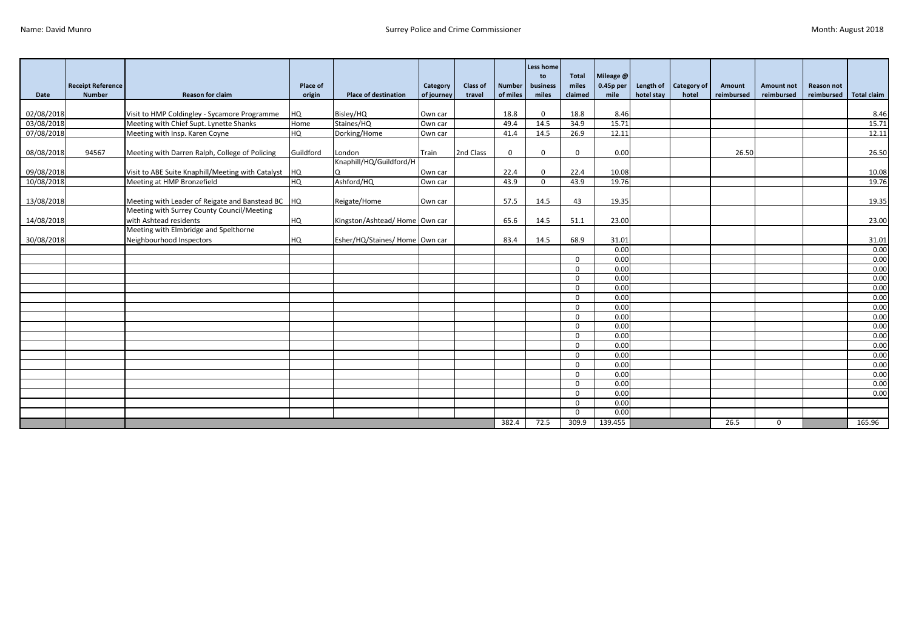|                          | <b>Receipt Reference</b> |                                                                                         | Place of   |                                | Category           | <b>Class of</b> | <b>Number</b> | <b>Less home</b><br>to<br>business | <b>Total</b><br>miles | Mileage @<br>$0.45p$ per |            | Length of Category of | Amount     | Amount not  | Reason not |                    |
|--------------------------|--------------------------|-----------------------------------------------------------------------------------------|------------|--------------------------------|--------------------|-----------------|---------------|------------------------------------|-----------------------|--------------------------|------------|-----------------------|------------|-------------|------------|--------------------|
| Date                     | <b>Number</b>            | <b>Reason for claim</b>                                                                 | origin     | <b>Place of destination</b>    | of journey         | travel          | of miles      | miles                              | claimed               | mile                     | hotel stay | hotel                 | reimbursed | reimbursed  | reimbursed | <b>Total claim</b> |
|                          |                          |                                                                                         |            |                                |                    |                 |               |                                    |                       |                          |            |                       |            |             |            |                    |
| 02/08/2018<br>03/08/2018 |                          | Visit to HMP Coldingley - Sycamore Programme<br>Meeting with Chief Supt. Lynette Shanks | HQ<br>Home | Bisley/HQ<br>Staines/HQ        | Own car<br>Own car |                 | 18.8<br>49.4  | $\Omega$<br>14.5                   | 18.8<br>34.9          | 8.46<br>15.71            |            |                       |            |             |            | 8.46<br>15.71      |
| 07/08/2018               |                          | Meeting with Insp. Karen Coyne                                                          | <b>HQ</b>  | Dorking/Home                   | Own car            |                 | 41.4          | 14.5                               | 26.9                  | 12.11                    |            |                       |            |             |            | 12.11              |
|                          |                          |                                                                                         |            |                                |                    |                 |               |                                    |                       |                          |            |                       |            |             |            |                    |
| 08/08/2018               | 94567                    | Meeting with Darren Ralph, College of Policing                                          | Guildford  | London                         | Train              | 2nd Class       | $\mathbf 0$   | $\mathbf{0}$                       | $\mathbf 0$           | 0.00                     |            |                       | 26.50      |             |            | 26.50              |
|                          |                          |                                                                                         |            | Knaphill/HQ/Guildford/H        |                    |                 |               |                                    |                       |                          |            |                       |            |             |            |                    |
| 09/08/2018               |                          | Visit to ABE Suite Knaphill/Meeting with Catalyst                                       | <b>HQ</b>  | l Q                            | Own car            |                 | 22.4          | $\Omega$                           | 22.4                  | 10.08                    |            |                       |            |             |            | 10.08              |
| 10/08/2018               |                          | Meeting at HMP Bronzefield                                                              | HQ         | Ashford/HQ                     | Own car            |                 | 43.9          | $\Omega$                           | 43.9                  | 19.76                    |            |                       |            |             |            | 19.76              |
|                          |                          |                                                                                         |            |                                |                    |                 |               |                                    |                       |                          |            |                       |            |             |            |                    |
| 13/08/2018               |                          | Meeting with Leader of Reigate and Banstead BC                                          | <b>HQ</b>  | Reigate/Home                   | Own car            |                 | 57.5          | 14.5                               | 43                    | 19.35                    |            |                       |            |             |            | 19.35              |
|                          |                          | Meeting with Surrey County Council/Meeting                                              |            |                                |                    |                 |               |                                    |                       |                          |            |                       |            |             |            |                    |
| 14/08/2018               |                          | with Ashtead residents                                                                  | <b>HQ</b>  | Kingston/Ashtead/Home Own car  |                    |                 | 65.6          | 14.5                               | 51.1                  | 23.00                    |            |                       |            |             |            | 23.00              |
|                          |                          | Meeting with Elmbridge and Spelthorne                                                   |            |                                |                    |                 |               |                                    |                       |                          |            |                       |            |             |            |                    |
| 30/08/2018               |                          | Neighbourhood Inspectors                                                                | <b>HQ</b>  | Esher/HQ/Staines/ Home Own car |                    |                 | 83.4          | 14.5                               | 68.9                  | 31.01                    |            |                       |            |             |            | 31.01              |
|                          |                          |                                                                                         |            |                                |                    |                 |               |                                    |                       | 0.00                     |            |                       |            |             |            | 0.00               |
|                          |                          |                                                                                         |            |                                |                    |                 |               |                                    | $\Omega$              | 0.00                     |            |                       |            |             |            | 0.00               |
|                          |                          |                                                                                         |            |                                |                    |                 |               |                                    | $\Omega$              | 0.00                     |            |                       |            |             |            | 0.00               |
|                          |                          |                                                                                         |            |                                |                    |                 |               |                                    | $\Omega$              | 0.00                     |            |                       |            |             |            | 0.00               |
|                          |                          |                                                                                         |            |                                |                    |                 |               |                                    | $\Omega$              | 0.00                     |            |                       |            |             |            | 0.00               |
|                          |                          |                                                                                         |            |                                |                    |                 |               |                                    | $\Omega$              | 0.00                     |            |                       |            |             |            | 0.00               |
|                          |                          |                                                                                         |            |                                |                    |                 |               |                                    | $\Omega$              | 0.00                     |            |                       |            |             |            | 0.00               |
|                          |                          |                                                                                         |            |                                |                    |                 |               |                                    | $\Omega$              | 0.00                     |            |                       |            |             |            | 0.00               |
|                          |                          |                                                                                         |            |                                |                    |                 |               |                                    | $\Omega$              | 0.00                     |            |                       |            |             |            | 0.00               |
|                          |                          |                                                                                         |            |                                |                    |                 |               |                                    | $\Omega$<br>$\Omega$  | 0.00<br>0.00             |            |                       |            |             |            | 0.00<br>0.00       |
|                          |                          |                                                                                         |            |                                |                    |                 |               |                                    | $\Omega$              | 0.00                     |            |                       |            |             |            | 0.00               |
|                          |                          |                                                                                         |            |                                |                    |                 |               |                                    | $\Omega$              | 0.00                     |            |                       |            |             |            | 0.00               |
|                          |                          |                                                                                         |            |                                |                    |                 |               |                                    | $\Omega$              | 0.00                     |            |                       |            |             |            | 0.00               |
|                          |                          |                                                                                         |            |                                |                    |                 |               |                                    | $\Omega$              | 0.00                     |            |                       |            |             |            | 0.00               |
|                          |                          |                                                                                         |            |                                |                    |                 |               |                                    | $\Omega$              | 0.00                     |            |                       |            |             |            | 0.00               |
|                          |                          |                                                                                         |            |                                |                    |                 |               |                                    | $\Omega$              | 0.00                     |            |                       |            |             |            |                    |
|                          |                          |                                                                                         |            |                                |                    |                 |               |                                    | $\Omega$              | 0.00                     |            |                       |            |             |            |                    |
|                          |                          |                                                                                         |            |                                |                    |                 | 382.4         | 72.5                               | 309.9                 | 139.455                  |            |                       | 26.5       | $\mathbf 0$ |            | 165.96             |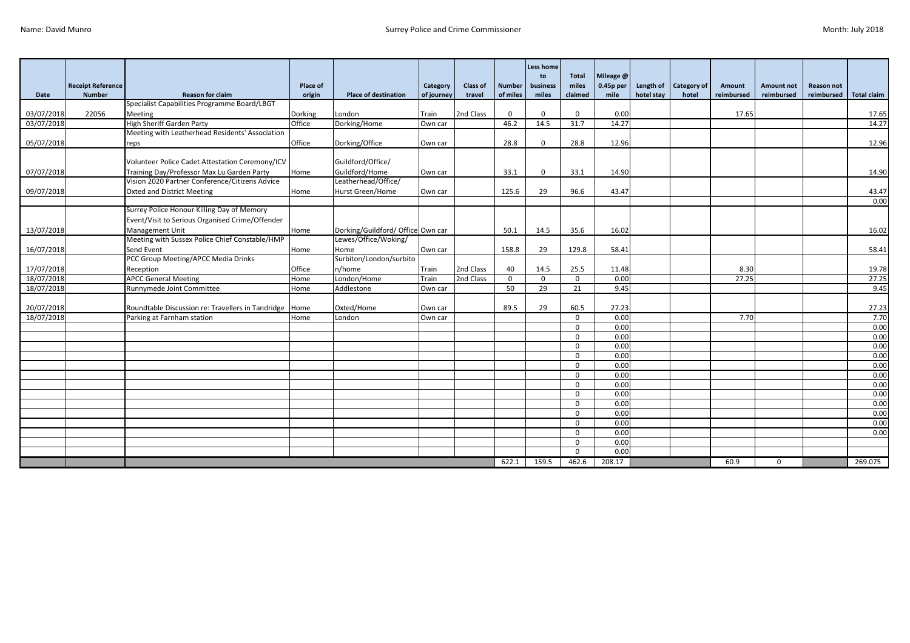|             |                          |                                                          |          |                                   |            |                 |               | Less home      |                       |                        |            |                    |            |                   |                   |                    |
|-------------|--------------------------|----------------------------------------------------------|----------|-----------------------------------|------------|-----------------|---------------|----------------|-----------------------|------------------------|------------|--------------------|------------|-------------------|-------------------|--------------------|
|             | <b>Receipt Reference</b> |                                                          | Place of |                                   | Category   | <b>Class of</b> | <b>Number</b> | to<br>business | <b>Total</b><br>miles | Mileage @<br>0.45p per | Length of  | <b>Category of</b> | Amount     | <b>Amount not</b> | <b>Reason not</b> |                    |
| <b>Date</b> | <b>Number</b>            | <b>Reason for claim</b>                                  | origin   | <b>Place of destination</b>       | of journey | travel          | of miles      | miles          | claimed               | mile                   | hotel stay | hotel              | reimbursed | reimbursed        | reimbursed        | <b>Total claim</b> |
|             |                          | Specialist Capabilities Programme Board/LBGT             |          |                                   |            |                 |               |                |                       |                        |            |                    |            |                   |                   |                    |
| 03/07/2018  | 22056                    | <b>Meeting</b>                                           | Dorking  | London                            | Train      | 2nd Class       | $\mathbf{0}$  | $\Omega$       | $\Omega$              | 0.00                   |            |                    | 17.65      |                   |                   | 17.65              |
| 03/07/2018  |                          | <b>High Sheriff Garden Party</b>                         | Office   | Dorking/Home                      | Own car    |                 | 46.2          | 14.5           | 31.7                  | 14.27                  |            |                    |            |                   |                   | 14.27              |
|             |                          | Meeting with Leatherhead Residents' Association          |          |                                   |            |                 |               |                |                       |                        |            |                    |            |                   |                   |                    |
| 05/07/2018  |                          | reps                                                     | Office   | Dorking/Office                    | Own car    |                 | 28.8          | $\mathbf{0}$   | 28.8                  | 12.96                  |            |                    |            |                   |                   | 12.96              |
|             |                          |                                                          |          |                                   |            |                 |               |                |                       |                        |            |                    |            |                   |                   |                    |
|             |                          | Volunteer Police Cadet Attestation Ceremony/ICV          |          | Guildford/Office/                 |            |                 |               |                |                       |                        |            |                    |            |                   |                   |                    |
| 07/07/2018  |                          | Training Day/Professor Max Lu Garden Party               | Home     | Guildford/Home                    | Own car    |                 | 33.1          | $\Omega$       | 33.1                  | 14.90                  |            |                    |            |                   |                   | 14.90              |
|             |                          | Vision 2020 Partner Conference/Citizens Advice           |          | Leatherhead/Office/               |            |                 |               |                |                       |                        |            |                    |            |                   |                   |                    |
| 09/07/2018  |                          | <b>Oxted and District Meeting</b>                        | Home     | Hurst Green/Home                  | Own car    |                 | 125.6         | 29             | 96.6                  | 43.47                  |            |                    |            |                   |                   | 43.47              |
|             |                          |                                                          |          |                                   |            |                 |               |                |                       |                        |            |                    |            |                   |                   | 0.00               |
|             |                          | Surrey Police Honour Killing Day of Memory               |          |                                   |            |                 |               |                |                       |                        |            |                    |            |                   |                   |                    |
|             |                          | Event/Visit to Serious Organised Crime/Offender          |          |                                   |            |                 |               |                |                       |                        |            |                    |            |                   |                   |                    |
| 13/07/2018  |                          | Management Unit                                          | Home     | Dorking/Guildford/ Office Own car |            |                 | 50.1          | 14.5           | 35.6                  | 16.02                  |            |                    |            |                   |                   | 16.02              |
|             |                          | Meeting with Sussex Police Chief Constable/HMP           |          | Lewes/Office/Woking/              |            |                 |               |                |                       |                        |            |                    |            |                   |                   |                    |
| 16/07/2018  |                          | Send Event                                               | Home     | Home                              | Own car    |                 | 158.8         | 29             | 129.8                 | 58.41                  |            |                    |            |                   |                   | 58.41              |
|             |                          | PCC Group Meeting/APCC Media Drinks                      |          | Surbiton/London/surbito           |            |                 |               |                |                       |                        |            |                    |            |                   |                   |                    |
| 17/07/2018  |                          | Reception                                                | Office   | n/home                            | Train      | 2nd Class       | 40            | 14.5           | 25.5                  | 11.48                  |            |                    | 8.30       |                   |                   | 19.78              |
| 18/07/2018  |                          | <b>APCC General Meeting</b>                              | Home     | London/Home                       | Train      | 2nd Class       | $\mathbf 0$   | $\mathbf{0}$   | $\mathbf 0$           | 0.00                   |            |                    | 27.25      |                   |                   | 27.25              |
| 18/07/2018  |                          | Runnymede Joint Committee                                | Home     | Addlestone                        | Own car    |                 | 50            | 29             | 21                    | 9.45                   |            |                    |            |                   |                   | 9.45               |
|             |                          |                                                          |          |                                   |            |                 |               |                |                       |                        |            |                    |            |                   |                   |                    |
| 20/07/2018  |                          | Roundtable Discussion re: Travellers in Tandridge   Home |          | Oxted/Home                        | Own car    |                 | 89.5          | 29             | 60.5                  | 27.23                  |            |                    |            |                   |                   | 27.23              |
| 18/07/2018  |                          | Parking at Farnham station                               | Home     | London                            | Own car    |                 |               |                | $\Omega$              | 0.00                   |            |                    | 7.70       |                   |                   | 7.70               |
|             |                          |                                                          |          |                                   |            |                 |               |                | $\Omega$              | 0.00                   |            |                    |            |                   |                   | 0.00               |
|             |                          |                                                          |          |                                   |            |                 |               |                | $\Omega$              | 0.00                   |            |                    |            |                   |                   | 0.00               |
|             |                          |                                                          |          |                                   |            |                 |               |                | $\Omega$              | 0.00                   |            |                    |            |                   |                   | 0.00               |
|             |                          |                                                          |          |                                   |            |                 |               |                | $\Omega$              | 0.00                   |            |                    |            |                   |                   | 0.00               |
|             |                          |                                                          |          |                                   |            |                 |               |                | $\Omega$              | 0.00                   |            |                    |            |                   |                   | 0.00               |
|             |                          |                                                          |          |                                   |            |                 |               |                | $\Omega$              | 0.00                   |            |                    |            |                   |                   | 0.00               |
|             |                          |                                                          |          |                                   |            |                 |               |                | $\mathbf 0$           | 0.00                   |            |                    |            |                   |                   | 0.00               |
|             |                          |                                                          |          |                                   |            |                 |               |                | $\Omega$              | 0.00                   |            |                    |            |                   |                   | 0.00               |
|             |                          |                                                          |          |                                   |            |                 |               |                | $\Omega$              | 0.00                   |            |                    |            |                   |                   | 0.00               |
|             |                          |                                                          |          |                                   |            |                 |               |                | $\Omega$              | 0.00                   |            |                    |            |                   |                   | 0.00               |
|             |                          |                                                          |          |                                   |            |                 |               |                | $\mathbf 0$           | 0.00                   |            |                    |            |                   |                   | 0.00               |
|             |                          |                                                          |          |                                   |            |                 |               |                | $\Omega$              | 0.00                   |            |                    |            |                   |                   | 0.00               |
|             |                          |                                                          |          |                                   |            |                 |               |                | $\Omega$              | 0.00                   |            |                    |            |                   |                   |                    |
|             |                          |                                                          |          |                                   |            |                 |               |                | $\Omega$              | 0.00                   |            |                    |            |                   |                   |                    |
|             |                          |                                                          |          |                                   |            |                 | 622.1         | 159.5          | 462.6                 | 208.17                 |            |                    | 60.9       | $\mathbf{0}$      |                   | 269.075            |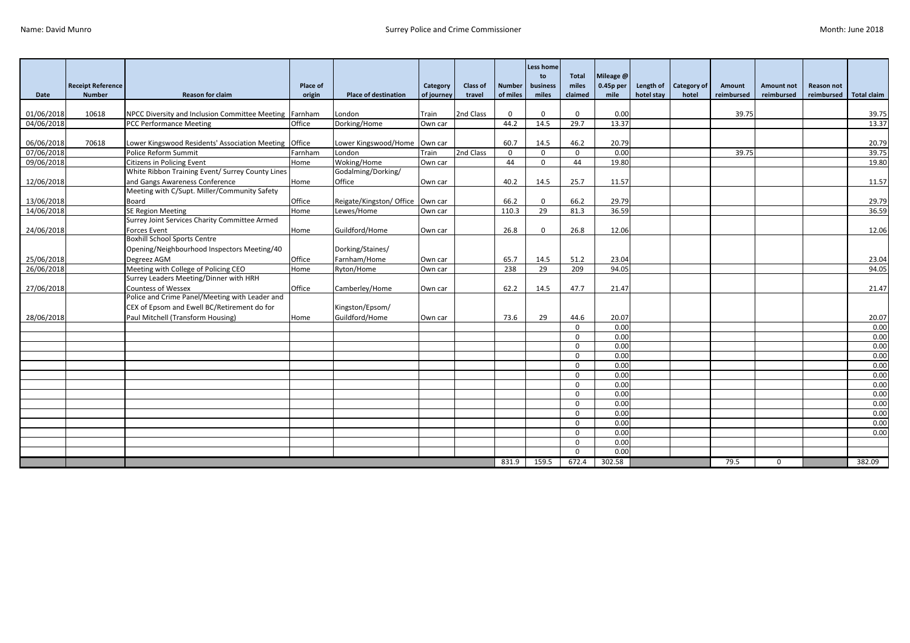|            |                                           |                                                        |                           |                                    |                        |                    |                           | <b>Less home</b><br>to | <b>Total</b><br>miles | Mileage @         |                         |                             |                      |                                 |                                 |                    |
|------------|-------------------------------------------|--------------------------------------------------------|---------------------------|------------------------------------|------------------------|--------------------|---------------------------|------------------------|-----------------------|-------------------|-------------------------|-----------------------------|----------------------|---------------------------------|---------------------------------|--------------------|
| Date       | <b>Receipt Reference</b><br><b>Number</b> | <b>Reason for claim</b>                                | <b>Place of</b><br>origin | <b>Place of destination</b>        | Category<br>of journey | Class of<br>travel | <b>Number</b><br>of miles | business<br>miles      | claimed               | 0.45p per<br>mile | Length of<br>hotel stay | <b>Category of</b><br>hotel | Amount<br>reimbursed | <b>Amount not</b><br>reimbursed | <b>Reason not</b><br>reimbursed | <b>Total claim</b> |
|            |                                           |                                                        |                           |                                    |                        |                    |                           |                        |                       |                   |                         |                             |                      |                                 |                                 |                    |
| 01/06/2018 | 10618                                     | NPCC Diversity and Inclusion Committee Meeting Farnham |                           | London                             | Train                  | 2nd Class          | $\mathbf 0$               | $\mathbf{0}$           | $\mathbf{0}$          | 0.00              |                         |                             | 39.75                |                                 |                                 | 39.75              |
| 04/06/2018 |                                           | <b>PCC Performance Meeting</b>                         | Office                    | Dorking/Home                       | Own car                |                    | 44.2                      | 14.5                   | 29.7                  | 13.37             |                         |                             |                      |                                 |                                 | 13.37              |
|            |                                           |                                                        |                           |                                    |                        |                    |                           |                        |                       |                   |                         |                             |                      |                                 |                                 |                    |
| 06/06/2018 | 70618                                     | Lower Kingswood Residents' Association Meeting Office  |                           | Lower Kingswood/Home Own car       |                        |                    | 60.7                      | 14.5                   | 46.2                  | 20.79             |                         |                             |                      |                                 |                                 | 20.79              |
| 07/06/2018 |                                           | Police Reform Summit                                   | Farnham                   | London                             | Train                  | 2nd Class          | $\mathbf 0$               | $\mathbf{0}$           | $\mathbf{0}$          | 0.00              |                         |                             | 39.75                |                                 |                                 | 39.75              |
| 09/06/2018 |                                           | <b>Citizens in Policing Event</b>                      | Home                      | Woking/Home                        | Own car                |                    | 44                        | $\Omega$               | 44                    | 19.80             |                         |                             |                      |                                 |                                 | 19.80              |
|            |                                           | White Ribbon Training Event/ Surrey County Lines       |                           | Godalming/Dorking/                 |                        |                    |                           |                        |                       |                   |                         |                             |                      |                                 |                                 |                    |
| 12/06/2018 |                                           | and Gangs Awareness Conference                         | Home                      | Office                             | Own car                |                    | 40.2                      | 14.5                   | 25.7                  | 11.57             |                         |                             |                      |                                 |                                 | 11.57              |
|            |                                           | Meeting with C/Supt. Miller/Community Safety           |                           |                                    |                        |                    |                           |                        |                       |                   |                         |                             |                      |                                 |                                 |                    |
| 13/06/2018 |                                           | Board                                                  | Office                    | Reigate/Kingston/ Office   Own car |                        |                    | 66.2                      | $\Omega$               | 66.2                  | 29.79             |                         |                             |                      |                                 |                                 | 29.79              |
| 14/06/2018 |                                           | <b>SE Region Meeting</b>                               | Home                      | Lewes/Home                         | Own car                |                    | 110.3                     | 29                     | 81.3                  | 36.59             |                         |                             |                      |                                 |                                 | 36.59              |
|            |                                           | Surrey Joint Services Charity Committee Armed          |                           |                                    |                        |                    |                           |                        |                       |                   |                         |                             |                      |                                 |                                 |                    |
| 24/06/2018 |                                           | <b>Forces Event</b>                                    | Home                      | Guildford/Home                     | Own car                |                    | 26.8                      | $\Omega$               | 26.8                  | 12.06             |                         |                             |                      |                                 |                                 | 12.06              |
|            |                                           | <b>Boxhill School Sports Centre</b>                    |                           |                                    |                        |                    |                           |                        |                       |                   |                         |                             |                      |                                 |                                 |                    |
|            |                                           | Opening/Neighbourhood Inspectors Meeting/40            |                           | Dorking/Staines/                   |                        |                    |                           |                        |                       |                   |                         |                             |                      |                                 |                                 |                    |
| 25/06/2018 |                                           | Degreez AGM                                            | Office                    | Farnham/Home                       | Own car                |                    | 65.7                      | 14.5                   | 51.2                  | 23.04             |                         |                             |                      |                                 |                                 | 23.04              |
| 26/06/2018 |                                           | Meeting with College of Policing CEO                   | Home                      | Ryton/Home                         | Own car                |                    | 238                       | 29                     | $\overline{209}$      | 94.05             |                         |                             |                      |                                 |                                 | 94.05              |
|            |                                           | Surrey Leaders Meeting/Dinner with HRH                 |                           |                                    |                        |                    |                           |                        |                       |                   |                         |                             |                      |                                 |                                 |                    |
| 27/06/2018 |                                           | <b>Countess of Wessex</b>                              | Office                    | Camberley/Home                     | Own car                |                    | 62.2                      | 14.5                   | 47.7                  | 21.47             |                         |                             |                      |                                 |                                 | 21.47              |
|            |                                           | Police and Crime Panel/Meeting with Leader and         |                           |                                    |                        |                    |                           |                        |                       |                   |                         |                             |                      |                                 |                                 |                    |
|            |                                           | CEX of Epsom and Ewell BC/Retirement do for            |                           | Kingston/Epsom/                    |                        |                    |                           |                        |                       |                   |                         |                             |                      |                                 |                                 |                    |
| 28/06/2018 |                                           | Paul Mitchell (Transform Housing)                      | Home                      | Guildford/Home                     | Own car                |                    | 73.6                      | 29                     | 44.6                  | 20.07             |                         |                             |                      |                                 |                                 | 20.07              |
|            |                                           |                                                        |                           |                                    |                        |                    |                           |                        | $\Omega$              | 0.00              |                         |                             |                      |                                 |                                 | 0.00               |
|            |                                           |                                                        |                           |                                    |                        |                    |                           |                        | $\mathbf{0}$          | 0.00              |                         |                             |                      |                                 |                                 | 0.00               |
|            |                                           |                                                        |                           |                                    |                        |                    |                           |                        | $\Omega$              | 0.00              |                         |                             |                      |                                 |                                 | 0.00               |
|            |                                           |                                                        |                           |                                    |                        |                    |                           |                        | $\mathbf{0}$          | 0.00              |                         |                             |                      |                                 |                                 | 0.00               |
|            |                                           |                                                        |                           |                                    |                        |                    |                           |                        | $\Omega$              | 0.00              |                         |                             |                      |                                 |                                 | 0.00               |
|            |                                           |                                                        |                           |                                    |                        |                    |                           |                        | $\mathbf{0}$          | 0.00              |                         |                             |                      |                                 |                                 | 0.00               |
|            |                                           |                                                        |                           |                                    |                        |                    |                           |                        | $\Omega$              | 0.00              |                         |                             |                      |                                 |                                 | 0.00               |
|            |                                           |                                                        |                           |                                    |                        |                    |                           |                        | $\mathbf{0}$          | 0.00              |                         |                             |                      |                                 |                                 | 0.00               |
|            |                                           |                                                        |                           |                                    |                        |                    |                           |                        | $\Omega$              | 0.00              |                         |                             |                      |                                 |                                 | 0.00               |
|            |                                           |                                                        |                           |                                    |                        |                    |                           |                        | $\Omega$              | 0.00              |                         |                             |                      |                                 |                                 | 0.00               |
|            |                                           |                                                        |                           |                                    |                        |                    |                           |                        | $\Omega$              | 0.00              |                         |                             |                      |                                 |                                 | 0.00               |
|            |                                           |                                                        |                           |                                    |                        |                    |                           |                        | $\mathbf{0}$          | 0.00              |                         |                             |                      |                                 |                                 | 0.00               |
|            |                                           |                                                        |                           |                                    |                        |                    |                           |                        | $\Omega$              | 0.00              |                         |                             |                      |                                 |                                 |                    |
|            |                                           |                                                        |                           |                                    |                        |                    |                           |                        | $\Omega$              | 0.00              |                         |                             |                      |                                 |                                 |                    |
|            |                                           |                                                        |                           |                                    |                        |                    | 831.9                     | 159.5                  | 672.4                 | 302.58            |                         |                             | 79.5                 | $\mathbf{0}$                    |                                 | 382.09             |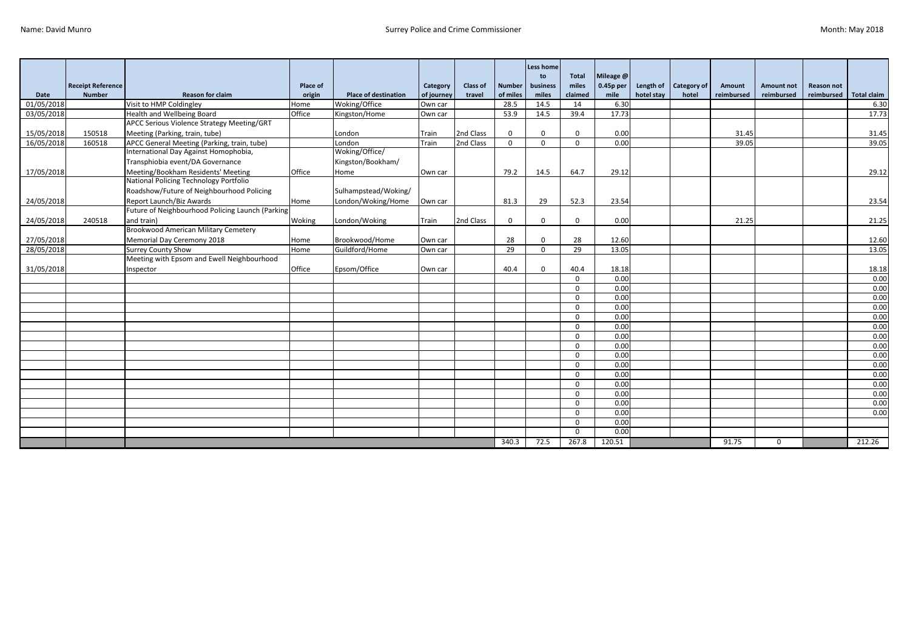|            |                          |                                                  |          |                             |            |                 |               | Less home<br>to | <b>Total</b>    | Mileage @ |            |                       |            |                   |                   |                    |
|------------|--------------------------|--------------------------------------------------|----------|-----------------------------|------------|-----------------|---------------|-----------------|-----------------|-----------|------------|-----------------------|------------|-------------------|-------------------|--------------------|
|            | <b>Receipt Reference</b> |                                                  | Place of |                             | Category   | <b>Class of</b> | <b>Number</b> | business        | miles           | 0.45p per |            | Length of Category of | Amount     | <b>Amount not</b> | <b>Reason not</b> |                    |
| Date       | <b>Number</b>            | <b>Reason for claim</b>                          | origin   | <b>Place of destination</b> | of journey | travel          | of miles      | miles           | claimed         | mile      | hotel stay | hotel                 | reimbursed | reimbursed        | reimbursed        | <b>Total claim</b> |
| 01/05/2018 |                          | Visit to HMP Coldingley                          | Home     | Woking/Office               | Own car    |                 | 28.5          | 14.5            | 14              | 6.30      |            |                       |            |                   |                   | 6.30               |
| 03/05/2018 |                          | Health and Wellbeing Board                       | Office   | Kingston/Home               | Own car    |                 | 53.9          | 14.5            | 39.4            | 17.73     |            |                       |            |                   |                   | 17.73              |
|            |                          | APCC Serious Violence Strategy Meeting/GRT       |          |                             |            |                 |               |                 |                 |           |            |                       |            |                   |                   |                    |
| 15/05/2018 | 150518                   | Meeting (Parking, train, tube)                   |          | London                      | Train      | 2nd Class       | $\mathbf{0}$  | $\Omega$        | $\Omega$        | 0.00      |            |                       | 31.45      |                   |                   | 31.45              |
| 16/05/2018 | 160518                   | APCC General Meeting (Parking, train, tube)      |          | London                      | Train      | 2nd Class       | $\Omega$      | $\Omega$        | $\Omega$        | 0.00      |            |                       | 39.05      |                   |                   | 39.05              |
|            |                          | International Day Against Homophobia,            |          | Woking/Office/              |            |                 |               |                 |                 |           |            |                       |            |                   |                   |                    |
|            |                          | Transphiobia event/DA Governance                 |          | Kingston/Bookham/           |            |                 |               |                 |                 |           |            |                       |            |                   |                   |                    |
| 17/05/2018 |                          | Meeting/Bookham Residents' Meeting               | Office   | Home                        | Own car    |                 | 79.2          | 14.5            | 64.7            | 29.12     |            |                       |            |                   |                   | 29.12              |
|            |                          | National Policing Technology Portfolio           |          |                             |            |                 |               |                 |                 |           |            |                       |            |                   |                   |                    |
|            |                          | Roadshow/Future of Neighbourhood Policing        |          | Sulhampstead/Woking/        |            |                 |               |                 |                 |           |            |                       |            |                   |                   |                    |
| 24/05/2018 |                          | Report Launch/Biz Awards                         | Home     | London/Woking/Home          | Own car    |                 | 81.3          | 29              | 52.3            | 23.54     |            |                       |            |                   |                   | 23.54              |
|            |                          | Future of Neighbourhood Policing Launch (Parking |          |                             |            |                 |               |                 |                 |           |            |                       |            |                   |                   |                    |
| 24/05/2018 | 240518                   | and train)                                       | Woking   | London/Woking               | Train      | 2nd Class       | $\mathbf{0}$  | $\Omega$        | $\mathbf 0$     | 0.00      |            |                       | 21.25      |                   |                   | 21.25              |
|            |                          | <b>Brookwood American Military Cemetery</b>      |          |                             |            |                 |               |                 |                 |           |            |                       |            |                   |                   |                    |
| 27/05/2018 |                          | Memorial Day Ceremony 2018                       | Home     | Brookwood/Home              | Own car    |                 | 28            | $\Omega$        | 28              | 12.60     |            |                       |            |                   |                   | 12.60              |
| 28/05/2018 |                          | <b>Surrey County Show</b>                        | Home     | Guildford/Home              | Own car    |                 | 29            | $\mathbf{0}$    | $\overline{29}$ | 13.05     |            |                       |            |                   |                   | 13.05              |
|            |                          | Meeting with Epsom and Ewell Neighbourhood       |          |                             |            |                 |               |                 |                 |           |            |                       |            |                   |                   |                    |
| 31/05/2018 |                          | Inspector                                        | Office   | Epsom/Office                | Own car    |                 | 40.4          | $\Omega$        | 40.4            | 18.18     |            |                       |            |                   |                   | 18.18              |
|            |                          |                                                  |          |                             |            |                 |               |                 | $\Omega$        | 0.00      |            |                       |            |                   |                   | 0.00               |
|            |                          |                                                  |          |                             |            |                 |               |                 | $\Omega$        | 0.00      |            |                       |            |                   |                   | 0.00               |
|            |                          |                                                  |          |                             |            |                 |               |                 | $\Omega$        | 0.00      |            |                       |            |                   |                   | 0.00               |
|            |                          |                                                  |          |                             |            |                 |               |                 | $\Omega$        | 0.00      |            |                       |            |                   |                   | 0.00               |
|            |                          |                                                  |          |                             |            |                 |               |                 | $\Omega$        | 0.00      |            |                       |            |                   |                   | 0.00               |
|            |                          |                                                  |          |                             |            |                 |               |                 | $\mathbf 0$     | 0.00      |            |                       |            |                   |                   | 0.00               |
|            |                          |                                                  |          |                             |            |                 |               |                 | $\Omega$        | 0.00      |            |                       |            |                   |                   | 0.00               |
|            |                          |                                                  |          |                             |            |                 |               |                 | $\Omega$        | 0.00      |            |                       |            |                   |                   | 0.00               |
|            |                          |                                                  |          |                             |            |                 |               |                 | $\Omega$        | 0.00      |            |                       |            |                   |                   | 0.00               |
|            |                          |                                                  |          |                             |            |                 |               |                 | $\mathbf 0$     | 0.00      |            |                       |            |                   |                   | 0.00               |
|            |                          |                                                  |          |                             |            |                 |               |                 | $\Omega$        | 0.00      |            |                       |            |                   |                   | 0.00               |
|            |                          |                                                  |          |                             |            |                 |               |                 | $\Omega$        | 0.00      |            |                       |            |                   |                   | 0.00               |
|            |                          |                                                  |          |                             |            |                 |               |                 | $\Omega$        | 0.00      |            |                       |            |                   |                   | 0.00               |
|            |                          |                                                  |          |                             |            |                 |               |                 | $\Omega$        | 0.00      |            |                       |            |                   |                   | 0.00               |
|            |                          |                                                  |          |                             |            |                 |               |                 | $\Omega$        | 0.00      |            |                       |            |                   |                   | 0.00               |
|            |                          |                                                  |          |                             |            |                 |               |                 | $\Omega$        | 0.00      |            |                       |            |                   |                   |                    |
|            |                          |                                                  |          |                             |            |                 |               |                 | $\Omega$        | 0.00      |            |                       |            |                   |                   |                    |
|            |                          |                                                  |          |                             |            |                 | 340.3         | 72.5            | 267.8           | 120.51    |            |                       | 91.75      | $\mathbf 0$       |                   | 212.26             |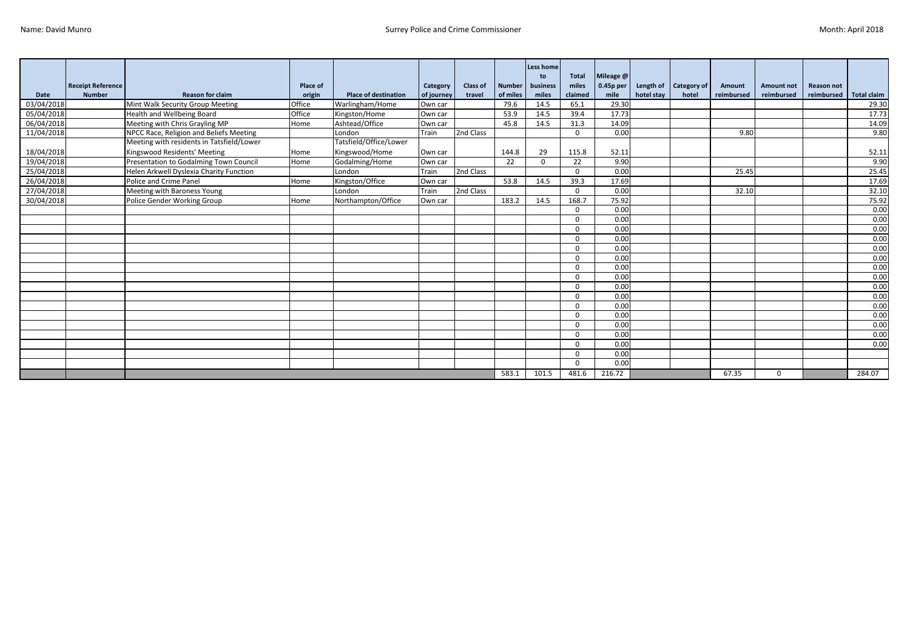|            |                                           |                                           |                           |                             |                        |                    |                           | Less home<br>to   | <b>Total</b>     | Mileage @           |            |                                |                      |                                 |                                 |                    |
|------------|-------------------------------------------|-------------------------------------------|---------------------------|-----------------------------|------------------------|--------------------|---------------------------|-------------------|------------------|---------------------|------------|--------------------------------|----------------------|---------------------------------|---------------------------------|--------------------|
| Date       | <b>Receipt Reference</b><br><b>Number</b> | <b>Reason for claim</b>                   | <b>Place of</b><br>origin | <b>Place of destination</b> | Category<br>of journey | Class of<br>travel | <b>Number</b><br>of miles | business<br>miles | miles<br>claimed | $0.45p$ per<br>mile | hotel stay | Length of Category of<br>hotel | Amount<br>reimbursed | <b>Amount not</b><br>reimbursed | <b>Reason not</b><br>reimbursed | <b>Total claim</b> |
| 03/04/2018 |                                           | Mint Walk Security Group Meeting          | Office                    | Warlingham/Home             | Own car                |                    | 79.6                      | 14.5              | 65.1             | 29.30               |            |                                |                      |                                 |                                 | 29.30              |
| 05/04/2018 |                                           | <b>Health and Wellbeing Board</b>         | Office                    | Kingston/Home               | Own car                |                    | 53.9                      | 14.5              | 39.4             | 17.73               |            |                                |                      |                                 |                                 | 17.73              |
| 06/04/2018 |                                           | Meeting with Chris Grayling MP            | Home                      | Ashtead/Office              | Own car                |                    | 45.8                      | 14.5              | 31.3             | 14.09               |            |                                |                      |                                 |                                 | 14.09              |
| 11/04/2018 |                                           | NPCC Race, Religion and Beliefs Meeting   |                           | London                      | Train                  | 2nd Class          |                           |                   | $\mathbf 0$      | 0.00                |            |                                | 9.80                 |                                 |                                 | 9.80               |
|            |                                           | Meeting with residents in Tatsfield/Lower |                           | Tatsfield/Office/Lower      |                        |                    |                           |                   |                  |                     |            |                                |                      |                                 |                                 |                    |
| 18/04/2018 |                                           | Kingswood Residents' Meeting              | Home                      | Kingswood/Home              | Own car                |                    | 144.8                     | 29                | 115.8            | 52.11               |            |                                |                      |                                 |                                 | 52.11              |
| 19/04/2018 |                                           | Presentation to Godalming Town Council    | Home                      | Godalming/Home              | Own car                |                    | 22                        | $\Omega$          | 22               | 9.90                |            |                                |                      |                                 |                                 | 9.90               |
| 25/04/2018 |                                           | Helen Arkwell Dyslexia Charity Function   |                           | London                      | Train                  | 2nd Class          |                           |                   | $\Omega$         | 0.00                |            |                                | 25.45                |                                 |                                 | 25.45              |
| 26/04/2018 |                                           | Police and Crime Panel                    | Home                      | Kingston/Office             | Own car                |                    | 53.8                      | 14.5              | 39.3             | 17.69               |            |                                |                      |                                 |                                 | 17.69              |
| 27/04/2018 |                                           | Meeting with Baroness Young               |                           | London                      | Train                  | 2nd Class          |                           |                   | $\Omega$         | 0.00                |            |                                | 32.10                |                                 |                                 | 32.10              |
| 30/04/2018 |                                           | Police Gender Working Group               | Home                      | Northampton/Office          | Own car                |                    | 183.2                     | 14.5              | 168.7            | 75.92               |            |                                |                      |                                 |                                 | 75.92              |
|            |                                           |                                           |                           |                             |                        |                    |                           |                   | $\Omega$         | 0.00                |            |                                |                      |                                 |                                 | 0.00               |
|            |                                           |                                           |                           |                             |                        |                    |                           |                   | $\Omega$         | 0.00                |            |                                |                      |                                 |                                 | 0.00               |
|            |                                           |                                           |                           |                             |                        |                    |                           |                   | $\Omega$         | 0.00                |            |                                |                      |                                 |                                 | 0.00               |
|            |                                           |                                           |                           |                             |                        |                    |                           |                   | $\Omega$         | 0.00                |            |                                |                      |                                 |                                 | 0.00               |
|            |                                           |                                           |                           |                             |                        |                    |                           |                   | $\Omega$         | 0.00                |            |                                |                      |                                 |                                 | 0.00               |
|            |                                           |                                           |                           |                             |                        |                    |                           |                   | $\Omega$         | 0.00                |            |                                |                      |                                 |                                 | 0.00               |
|            |                                           |                                           |                           |                             |                        |                    |                           |                   | $\Omega$         | 0.00                |            |                                |                      |                                 |                                 | 0.00               |
|            |                                           |                                           |                           |                             |                        |                    |                           |                   | $\Omega$         | 0.00                |            |                                |                      |                                 |                                 | 0.00               |
|            |                                           |                                           |                           |                             |                        |                    |                           |                   | $\Omega$         | 0.00                |            |                                |                      |                                 |                                 | 0.00               |
|            |                                           |                                           |                           |                             |                        |                    |                           |                   | $\Omega$         | 0.00                |            |                                |                      |                                 |                                 | 0.00               |
|            |                                           |                                           |                           |                             |                        |                    |                           |                   | $\Omega$         | 0.00                |            |                                |                      |                                 |                                 | 0.00               |
|            |                                           |                                           |                           |                             |                        |                    |                           |                   | $\Omega$         | 0.00                |            |                                |                      |                                 |                                 | 0.00               |
|            |                                           |                                           |                           |                             |                        |                    |                           |                   | $\Omega$         | 0.00                |            |                                |                      |                                 |                                 | 0.00               |
|            |                                           |                                           |                           |                             |                        |                    |                           |                   | $\Omega$         | 0.00                |            |                                |                      |                                 |                                 | 0.00               |
|            |                                           |                                           |                           |                             |                        |                    |                           |                   | $\Omega$         | 0.00                |            |                                |                      |                                 |                                 | 0.00               |
|            |                                           |                                           |                           |                             |                        |                    |                           |                   | $\Omega$         | 0.00                |            |                                |                      |                                 |                                 |                    |
|            |                                           |                                           |                           |                             |                        |                    |                           |                   | $\Omega$         | 0.00                |            |                                |                      |                                 |                                 |                    |
|            |                                           |                                           |                           |                             |                        |                    | 583.1                     | 101.5             | 481.6            | 216.72              |            |                                | 67.35                | $\Omega$                        |                                 | 284.07             |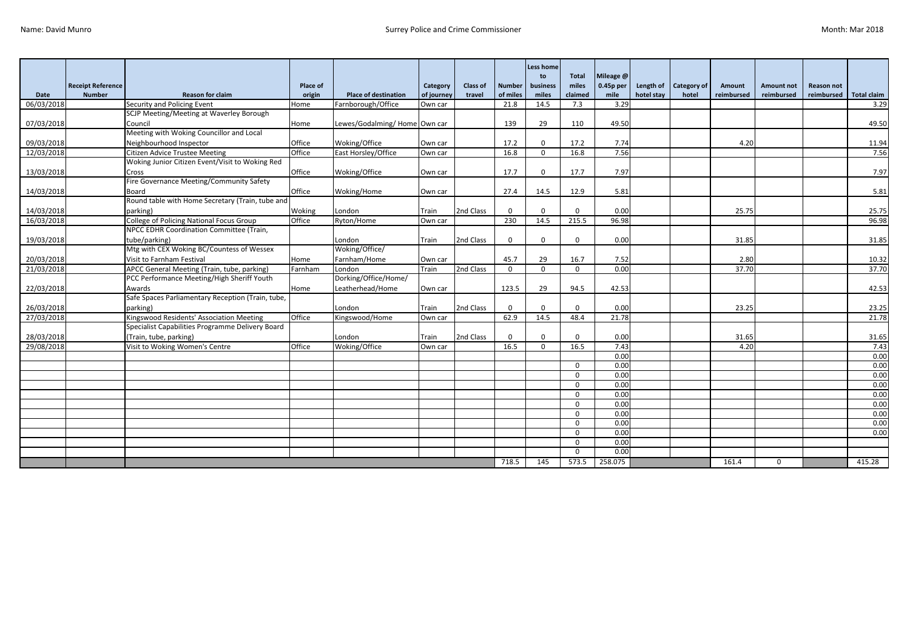|                          |                          |                                                                         |               |                                      |                    |           |               | <b>Less home</b><br>to | <b>Total</b> | Mileage @    |            |             |            |                   |                   |               |
|--------------------------|--------------------------|-------------------------------------------------------------------------|---------------|--------------------------------------|--------------------|-----------|---------------|------------------------|--------------|--------------|------------|-------------|------------|-------------------|-------------------|---------------|
|                          | <b>Receipt Reference</b> |                                                                         | Place of      |                                      | Category           | Class of  | <b>Number</b> | business               | miles        | $0.45p$ per  | Length of  | Category of | Amount     | <b>Amount not</b> | <b>Reason not</b> |               |
| Date                     | <b>Number</b>            | <b>Reason for claim</b>                                                 | origin        | <b>Place of destination</b>          | of journey         | travel    | of miles      | miles                  | claimed      | mile         | hotel stay | hotel       | reimbursed | reimbursed        | reimbursed        | Total claim   |
| 06/03/2018               |                          | Security and Policing Event<br>SCJP Meeting/Meeting at Waverley Borough | Home          | Farnborough/Office                   | Own car            |           | 21.8          | 14.5                   | 7.3          | 3.29         |            |             |            |                   |                   | 3.29          |
|                          |                          |                                                                         |               |                                      |                    |           | 139           | 29                     | 110          |              |            |             |            |                   |                   |               |
| 07/03/2018               |                          | Council<br>Meeting with Woking Councillor and Local                     | Home          | Lewes/Godalming/Home Own car         |                    |           |               |                        |              | 49.50        |            |             |            |                   |                   | 49.50         |
|                          |                          |                                                                         | Office        |                                      |                    |           |               | $\Omega$               |              |              |            |             |            |                   |                   |               |
| 09/03/2018<br>12/03/2018 |                          | Neighbourhood Inspector<br><b>Citizen Advice Trustee Meeting</b>        | Office        | Woking/Office<br>East Horsley/Office | Own car<br>Own car |           | 17.2<br>16.8  | $\Omega$               | 17.2<br>16.8 | 7.74<br>7.56 |            |             | 4.20       |                   |                   | 11.94<br>7.56 |
|                          |                          | Woking Junior Citizen Event/Visit to Woking Red                         |               |                                      |                    |           |               |                        |              |              |            |             |            |                   |                   |               |
|                          |                          |                                                                         | Office        |                                      |                    |           |               | $\Omega$               | 17.7         | 7.97         |            |             |            |                   |                   | 7.97          |
| 13/03/2018               |                          | Cross<br>Fire Governance Meeting/Community Safety                       |               | Woking/Office                        | Own car            |           | 17.7          |                        |              |              |            |             |            |                   |                   |               |
| 14/03/2018               |                          | Board                                                                   | Office        | Woking/Home                          | Own car            |           | 27.4          | 14.5                   | 12.9         | 5.81         |            |             |            |                   |                   | 5.81          |
|                          |                          | Round table with Home Secretary (Train, tube and                        |               |                                      |                    |           |               |                        |              |              |            |             |            |                   |                   |               |
| 14/03/2018               |                          | parking)                                                                | Woking        | London                               | Train              | 2nd Class | $\Omega$      | $\Omega$               | $\Omega$     | 0.00         |            |             | 25.75      |                   |                   | 25.75         |
| 16/03/2018               |                          | College of Policing National Focus Group                                | Office        | Ryton/Home                           | Own car            |           | 230           | 14.5                   | 215.5        | 96.98        |            |             |            |                   |                   | 96.98         |
|                          |                          | NPCC EDHR Coordination Committee (Train,                                |               |                                      |                    |           |               |                        |              |              |            |             |            |                   |                   |               |
| 19/03/2018               |                          | tube/parking)                                                           |               | London                               | Train              | 2nd Class | $\mathbf 0$   | $\Omega$               | $\Omega$     | 0.00         |            |             | 31.85      |                   |                   | 31.85         |
|                          |                          | Mtg with CEX Woking BC/Countess of Wessex                               |               | Woking/Office/                       |                    |           |               |                        |              |              |            |             |            |                   |                   |               |
| 20/03/2018               |                          | Visit to Farnham Festival                                               | Home          | Farnham/Home                         | Own car            |           | 45.7          | 29                     | 16.7         | 7.52         |            |             | 2.80       |                   |                   | 10.32         |
| 21/03/2018               |                          | APCC General Meeting (Train, tube, parking)                             | Farnham       | London                               | Train              | 2nd Class | $\Omega$      | $\Omega$               | $\mathbf{0}$ | 0.00         |            |             | 37.70      |                   |                   | 37.70         |
|                          |                          | PCC Performance Meeting/High Sheriff Youth                              |               | Dorking/Office/Home/                 |                    |           |               |                        |              |              |            |             |            |                   |                   |               |
| 22/03/2018               |                          | Awards                                                                  | Home          | Leatherhead/Home                     | Own car            |           | 123.5         | 29                     | 94.5         | 42.53        |            |             |            |                   |                   | 42.53         |
|                          |                          | Safe Spaces Parliamentary Reception (Train, tube,                       |               |                                      |                    |           |               |                        |              |              |            |             |            |                   |                   |               |
| 26/03/2018               |                          | parking)                                                                |               | London                               | Train              | 2nd Class | $\Omega$      | $\Omega$               | $\Omega$     | 0.00         |            |             | 23.25      |                   |                   | 23.25         |
| 27/03/2018               |                          | Kingswood Residents' Association Meeting                                | Office        | Kingswood/Home                       | Own car            |           | 62.9          | 14.5                   | 48.4         | 21.78        |            |             |            |                   |                   | 21.78         |
|                          |                          | Specialist Capabilities Programme Delivery Board                        |               |                                      |                    |           |               |                        |              |              |            |             |            |                   |                   |               |
| 28/03/2018               |                          | (Train, tube, parking)                                                  |               | London                               | Train              | 2nd Class | $\Omega$      | $\Omega$               | $\Omega$     | 0.00         |            |             | 31.65      |                   |                   | 31.65         |
| 29/08/2018               |                          | Visit to Woking Women's Centre                                          | <b>Office</b> | Woking/Office                        | Own car            |           | 16.5          | $\Omega$               | 16.5         | 7.43         |            |             | 4.20       |                   |                   | 7.43          |
|                          |                          |                                                                         |               |                                      |                    |           |               |                        |              | 0.00         |            |             |            |                   |                   | 0.00          |
|                          |                          |                                                                         |               |                                      |                    |           |               |                        | $\Omega$     | 0.00         |            |             |            |                   |                   | 0.00          |
|                          |                          |                                                                         |               |                                      |                    |           |               |                        | $\Omega$     | 0.00         |            |             |            |                   |                   | 0.00          |
|                          |                          |                                                                         |               |                                      |                    |           |               |                        | $\Omega$     | 0.00         |            |             |            |                   |                   | 0.00          |
|                          |                          |                                                                         |               |                                      |                    |           |               |                        | $\Omega$     | 0.00         |            |             |            |                   |                   | 0.00          |
|                          |                          |                                                                         |               |                                      |                    |           |               |                        | $\Omega$     | 0.00         |            |             |            |                   |                   | 0.00          |
|                          |                          |                                                                         |               |                                      |                    |           |               |                        | $\Omega$     | 0.00         |            |             |            |                   |                   | 0.00          |
|                          |                          |                                                                         |               |                                      |                    |           |               |                        | $\Omega$     | 0.00         |            |             |            |                   |                   | 0.00          |
|                          |                          |                                                                         |               |                                      |                    |           |               |                        | $\Omega$     | 0.00         |            |             |            |                   |                   | 0.00          |
|                          |                          |                                                                         |               |                                      |                    |           |               |                        | $\Omega$     | 0.00         |            |             |            |                   |                   |               |
|                          |                          |                                                                         |               |                                      |                    |           |               |                        | $\Omega$     | 0.00         |            |             |            |                   |                   |               |
|                          |                          |                                                                         |               |                                      |                    |           | 718.5         | 145                    | 573.5        | 258.075      |            |             | 161.4      | $\mathbf 0$       |                   | 415.28        |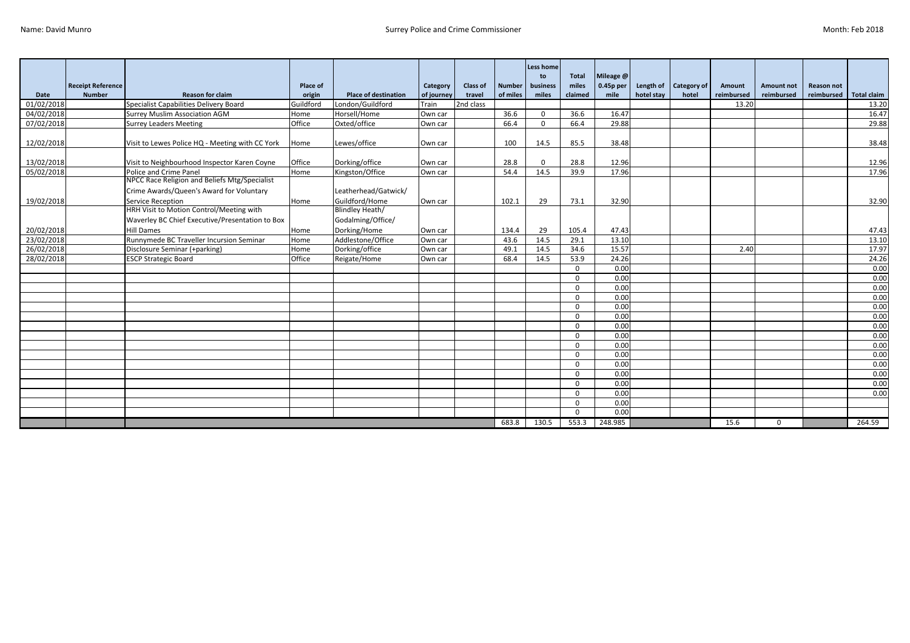|            |                          |                                                               |                 |                             |            |                 |               | Less home<br>to | <b>Total</b>         | Mileage @    |            |                    |            |                   |                   |                    |
|------------|--------------------------|---------------------------------------------------------------|-----------------|-----------------------------|------------|-----------------|---------------|-----------------|----------------------|--------------|------------|--------------------|------------|-------------------|-------------------|--------------------|
|            | <b>Receipt Reference</b> |                                                               | <b>Place of</b> |                             | Category   | <b>Class of</b> | <b>Number</b> | business        | miles                | 0.45p per    | Length of  | <b>Category of</b> | Amount     | <b>Amount not</b> | <b>Reason not</b> |                    |
| Date       | <b>Number</b>            | <b>Reason for claim</b>                                       | origin          | <b>Place of destination</b> | of journey | travel          | of miles      | miles           | claimed              | mile         | hotel stay | hotel              | reimbursed | reimbursed        | reimbursed        | <b>Total claim</b> |
| 01/02/2018 |                          | Specialist Capabilities Delivery Board                        | Guildford       | London/Guildford            | Train      | 2nd class       |               |                 |                      |              |            |                    | 13.20      |                   |                   | 13.20              |
| 04/02/2018 |                          | Surrey Muslim Association AGM                                 | Home            | Horsell/Home                | Own car    |                 | 36.6          | $\Omega$        | 36.6                 | 16.47        |            |                    |            |                   |                   | 16.47              |
| 07/02/2018 |                          | <b>Surrey Leaders Meeting</b>                                 | Office          | Oxted/office                | Own car    |                 | 66.4          | $\Omega$        | 66.4                 | 29.88        |            |                    |            |                   |                   | 29.88              |
|            |                          |                                                               |                 |                             |            |                 |               |                 |                      |              |            |                    |            |                   |                   |                    |
| 12/02/2018 |                          | Visit to Lewes Police HQ - Meeting with CC York               | Home            | Lewes/office                | Own car    |                 | 100           | 14.5            | 85.5                 | 38.48        |            |                    |            |                   |                   | 38.48              |
|            |                          |                                                               |                 |                             |            |                 |               |                 |                      |              |            |                    |            |                   |                   |                    |
| 13/02/2018 |                          | Visit to Neighbourhood Inspector Karen Coyne                  | Office          | Dorking/office              | Own car    |                 | 28.8          | $\Omega$        | 28.8                 | 12.96        |            |                    |            |                   |                   | 12.96              |
| 05/02/2018 |                          | Police and Crime Panel                                        | Home            | Kingston/Office             | Own car    |                 | 54.4          | 14.5            | 39.9                 | 17.96        |            |                    |            |                   |                   | 17.96              |
|            |                          | NPCC Race Religion and Beliefs Mtg/Specialist                 |                 |                             |            |                 |               |                 |                      |              |            |                    |            |                   |                   |                    |
|            |                          | Crime Awards/Queen's Award for Voluntary                      |                 | Leatherhead/Gatwick/        |            |                 |               |                 |                      |              |            |                    |            |                   |                   |                    |
| 19/02/2018 |                          | Service Reception<br>HRH Visit to Motion Control/Meeting with | Home            | Guildford/Home              | Own car    |                 | 102.1         | 29              | 73.1                 | 32.90        |            |                    |            |                   |                   | 32.90              |
|            |                          |                                                               |                 | <b>Blindley Heath/</b>      |            |                 |               |                 |                      |              |            |                    |            |                   |                   |                    |
|            |                          | Waverley BC Chief Executive/Presentation to Box               |                 | Godalming/Office/           |            |                 |               |                 |                      |              |            |                    |            |                   |                   |                    |
| 20/02/2018 |                          | <b>Hill Dames</b>                                             | Home            | Dorking/Home                | Own car    |                 | 134.4         | 29              | 105.4                | 47.43        |            |                    |            |                   |                   | 47.43              |
| 23/02/2018 |                          | Runnymede BC Traveller Incursion Seminar                      | Home            | Addlestone/Office           | Own car    |                 | 43.6          | 14.5            | 29.1                 | 13.10        |            |                    |            |                   |                   | 13.10              |
| 26/02/2018 |                          | Disclosure Seminar (+parking)                                 | Home            | Dorking/office              | Own car    |                 | 49.1          | 14.5            | 34.6                 | 15.57        |            |                    | 2.40       |                   |                   | 17.97              |
| 28/02/2018 |                          | <b>ESCP Strategic Board</b>                                   | Office          | Reigate/Home                | Own car    |                 | 68.4          | 14.5            | 53.9                 | 24.26        |            |                    |            |                   |                   | 24.26              |
|            |                          |                                                               |                 |                             |            |                 |               |                 | $\Omega$             | 0.00         |            |                    |            |                   |                   | 0.00               |
|            |                          |                                                               |                 |                             |            |                 |               |                 | $\Omega$             | 0.00         |            |                    |            |                   |                   | 0.00               |
|            |                          |                                                               |                 |                             |            |                 |               |                 | $\Omega$<br>$\Omega$ | 0.00<br>0.00 |            |                    |            |                   |                   | 0.00<br>0.00       |
|            |                          |                                                               |                 |                             |            |                 |               |                 | $\Omega$             | 0.00         |            |                    |            |                   |                   | 0.00               |
|            |                          |                                                               |                 |                             |            |                 |               |                 | $\Omega$             | 0.00         |            |                    |            |                   |                   | 0.00               |
|            |                          |                                                               |                 |                             |            |                 |               |                 | $\Omega$             | 0.00         |            |                    |            |                   |                   | 0.00               |
|            |                          |                                                               |                 |                             |            |                 |               |                 | $\Omega$             | 0.00         |            |                    |            |                   |                   | 0.00               |
|            |                          |                                                               |                 |                             |            |                 |               |                 | $\Omega$             | 0.00         |            |                    |            |                   |                   | 0.00               |
|            |                          |                                                               |                 |                             |            |                 |               |                 | $\Omega$             | 0.00         |            |                    |            |                   |                   | 0.00               |
|            |                          |                                                               |                 |                             |            |                 |               |                 | $\Omega$             | 0.00         |            |                    |            |                   |                   | 0.00               |
|            |                          |                                                               |                 |                             |            |                 |               |                 | $\Omega$             | 0.00         |            |                    |            |                   |                   | 0.00               |
|            |                          |                                                               |                 |                             |            |                 |               |                 | $\Omega$             | 0.00         |            |                    |            |                   |                   | 0.00               |
|            |                          |                                                               |                 |                             |            |                 |               |                 | $\Omega$             | 0.00         |            |                    |            |                   |                   | 0.00               |
|            |                          |                                                               |                 |                             |            |                 |               |                 | $\Omega$             | 0.00         |            |                    |            |                   |                   |                    |
|            |                          |                                                               |                 |                             |            |                 |               |                 | $\Omega$             | 0.00         |            |                    |            |                   |                   |                    |
|            |                          |                                                               |                 |                             |            |                 | 683.8         | 130.5           | 553.3                | 248.985      |            |                    | 15.6       | $\mathbf{0}$      |                   | 264.59             |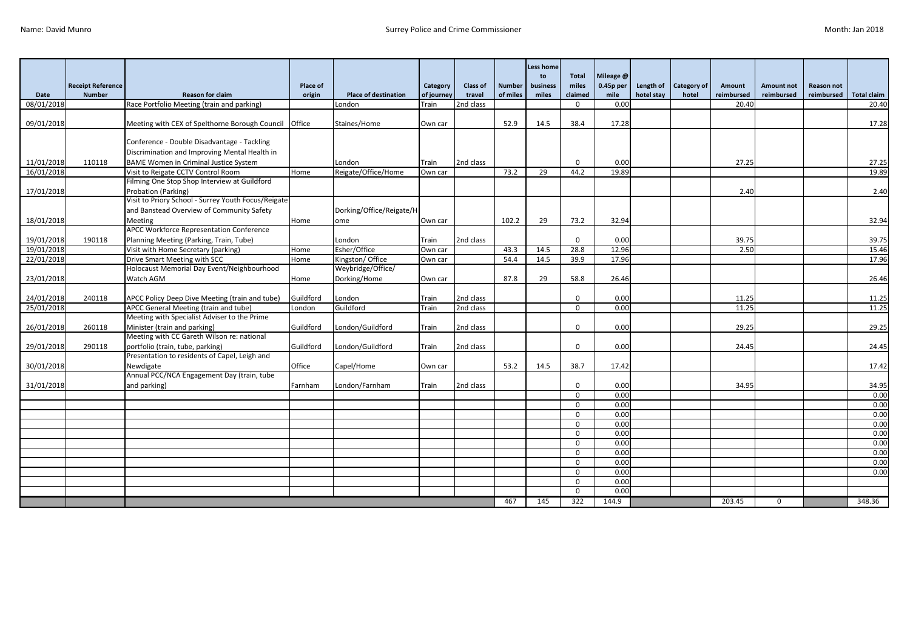|            |                          |                                                                                   |           |                             |            |                 |               | Less home<br>to | <b>Total</b> | Mileage @   |            |                         |            |                   |                   |                    |
|------------|--------------------------|-----------------------------------------------------------------------------------|-----------|-----------------------------|------------|-----------------|---------------|-----------------|--------------|-------------|------------|-------------------------|------------|-------------------|-------------------|--------------------|
|            | <b>Receipt Reference</b> |                                                                                   | Place of  |                             | Category   | <b>Class of</b> | <b>Number</b> | business        | miles        | $0.45p$ per |            | Length of   Category of | Amount     | <b>Amount not</b> | <b>Reason not</b> |                    |
| Date       | <b>Number</b>            | <b>Reason for claim</b>                                                           | origin    | <b>Place of destination</b> | of journey | travel          | of miles      | miles           | claimed      | mile        | hotel stay | hotel                   | reimbursed | reimbursed        | reimbursed        | <b>Total claim</b> |
| 08/01/2018 |                          | Race Portfolio Meeting (train and parking)                                        |           | London                      | Train      | 2nd class       |               |                 | $\Omega$     | 0.00        |            |                         | 20.40      |                   |                   | 20.40              |
|            |                          |                                                                                   |           |                             |            |                 |               |                 |              |             |            |                         |            |                   |                   |                    |
| 09/01/2018 |                          | Meeting with CEX of Spelthorne Borough Council   Office                           |           | Staines/Home                | Own car    |                 | 52.9          | 14.5            | 38.4         | 17.28       |            |                         |            |                   |                   | 17.28              |
|            |                          |                                                                                   |           |                             |            |                 |               |                 |              |             |            |                         |            |                   |                   |                    |
|            |                          | Conference - Double Disadvantage - Tackling                                       |           |                             |            |                 |               |                 |              |             |            |                         |            |                   |                   |                    |
|            |                          | Discrimination and Improving Mental Health in                                     |           |                             |            |                 |               |                 |              |             |            |                         |            |                   |                   |                    |
| 11/01/2018 | 110118                   | <b>BAME Women in Criminal Justice System</b>                                      |           | London                      | Train      | 2nd class       |               |                 | $\mathbf 0$  | 0.00        |            |                         | 27.25      |                   |                   | 27.25              |
| 16/01/2018 |                          | Visit to Reigate CCTV Control Room                                                | Home      | Reigate/Office/Home         | Own car    |                 | 73.2          | 29              | 44.2         | 19.89       |            |                         |            |                   |                   | 19.89              |
|            |                          | Filming One Stop Shop Interview at Guildford                                      |           |                             |            |                 |               |                 |              |             |            |                         |            |                   |                   |                    |
| 17/01/2018 |                          | Probation (Parking)                                                               |           |                             |            |                 |               |                 |              |             |            |                         | 2.40       |                   |                   | 2.40               |
|            |                          | Visit to Priory School - Surrey Youth Focus/Reigate                               |           |                             |            |                 |               |                 |              |             |            |                         |            |                   |                   |                    |
|            |                          | and Banstead Overview of Community Safety                                         |           | Dorking/Office/Reigate/H    |            |                 |               |                 |              |             |            |                         |            |                   |                   |                    |
| 18/01/2018 |                          | Meeting                                                                           | Home      | ome                         | Own car    |                 | 102.2         | 29              | 73.2         | 32.94       |            |                         |            |                   |                   | 32.94              |
|            |                          | APCC Workforce Representation Conference                                          |           |                             |            |                 |               |                 |              |             |            |                         |            |                   |                   |                    |
| 19/01/2018 | 190118                   | Planning Meeting (Parking, Train, Tube)                                           |           | London                      | Train      | 2nd class       |               |                 | $\Omega$     | 0.00        |            |                         | 39.75      |                   |                   | 39.75              |
| 19/01/2018 |                          | Visit with Home Secretary (parking)                                               | Home      | Esher/Office                | Own car    |                 | 43.3          | 14.5            | 28.8         | 12.96       |            |                         | 2.50       |                   |                   | 15.46              |
| 22/01/2018 |                          | Drive Smart Meeting with SCC                                                      | Home      | Kingston/Office             | Own car    |                 | 54.4          | 14.5            | 39.9         | 17.96       |            |                         |            |                   |                   | 17.96              |
|            |                          | Holocaust Memorial Day Event/Neighbourhood                                        |           | Weybridge/Office/           |            |                 |               |                 |              |             |            |                         |            |                   |                   |                    |
| 23/01/2018 |                          | Watch AGM                                                                         | Home      | Dorking/Home                | Own car    |                 | 87.8          | 29              | 58.8         | 26.46       |            |                         |            |                   |                   | 26.46              |
|            |                          |                                                                                   |           |                             |            |                 |               |                 |              |             |            |                         |            |                   |                   |                    |
| 24/01/2018 | 240118                   | APCC Policy Deep Dive Meeting (train and tube)                                    | Guildford | London                      | Train      | 2nd class       |               |                 | $\mathbf 0$  | 0.00        |            |                         | 11.25      |                   |                   | 11.25              |
| 25/01/2018 |                          | APCC General Meeting (train and tube)                                             | London    | Guildford                   | Train      | 2nd class       |               |                 | $\mathbf{0}$ | 0.00        |            |                         | 11.25      |                   |                   | 11.25              |
|            |                          | Meeting with Specialist Adviser to the Prime                                      |           |                             |            |                 |               |                 |              |             |            |                         |            |                   |                   |                    |
| 26/01/2018 | 260118                   | Minister (train and parking)                                                      | Guildford | London/Guildford            | Train      | 2nd class       |               |                 | $\Omega$     | 0.00        |            |                         | 29.25      |                   |                   | 29.25              |
|            |                          | Meeting with CC Gareth Wilson re: national                                        |           |                             |            |                 |               |                 |              |             |            |                         |            |                   |                   |                    |
| 29/01/2018 | 290118                   | portfolio (train, tube, parking)<br>Presentation to residents of Capel, Leigh and | Guildford | London/Guildford            | Train      | 2nd class       |               |                 | $\mathbf 0$  | 0.00        |            |                         | 24.45      |                   |                   | 24.45              |
| 30/01/2018 |                          | Newdigate                                                                         | Office    | Capel/Home                  |            |                 |               |                 | 38.7         | 17.42       |            |                         |            |                   |                   | 17.42              |
|            |                          | Annual PCC/NCA Engagement Day (train, tube                                        |           |                             | Own car    |                 | 53.2          | 14.5            |              |             |            |                         |            |                   |                   |                    |
| 31/01/2018 |                          | and parking)                                                                      | Farnham   | London/Farnham              | Train      | 2nd class       |               |                 | $\mathbf{0}$ | 0.00        |            |                         | 34.95      |                   |                   | 34.95              |
|            |                          |                                                                                   |           |                             |            |                 |               |                 | $\Omega$     | 0.00        |            |                         |            |                   |                   | 0.00               |
|            |                          |                                                                                   |           |                             |            |                 |               |                 | $\mathbf 0$  | 0.00        |            |                         |            |                   |                   | 0.00               |
|            |                          |                                                                                   |           |                             |            |                 |               |                 | $\Omega$     | 0.00        |            |                         |            |                   |                   | 0.00               |
|            |                          |                                                                                   |           |                             |            |                 |               |                 | $\Omega$     | 0.00        |            |                         |            |                   |                   | 0.00               |
|            |                          |                                                                                   |           |                             |            |                 |               |                 | $\Omega$     | 0.00        |            |                         |            |                   |                   | 0.00               |
|            |                          |                                                                                   |           |                             |            |                 |               |                 | $\Omega$     | 0.00        |            |                         |            |                   |                   | 0.00               |
|            |                          |                                                                                   |           |                             |            |                 |               |                 | $\mathbf 0$  | 0.00        |            |                         |            |                   |                   | 0.00               |
|            |                          |                                                                                   |           |                             |            |                 |               |                 | $\mathbf{0}$ | 0.00        |            |                         |            |                   |                   | 0.00               |
|            |                          |                                                                                   |           |                             |            |                 |               |                 | $\mathbf{0}$ | 0.00        |            |                         |            |                   |                   | 0.00               |
|            |                          |                                                                                   |           |                             |            |                 |               |                 | $\Omega$     | 0.00        |            |                         |            |                   |                   |                    |
|            |                          |                                                                                   |           |                             |            |                 |               |                 | $\Omega$     | 0.00        |            |                         |            |                   |                   |                    |
|            |                          |                                                                                   |           |                             |            |                 | 467           | 145             | 322          | 144.9       |            |                         | 203.45     | $\mathbf 0$       |                   | 348.36             |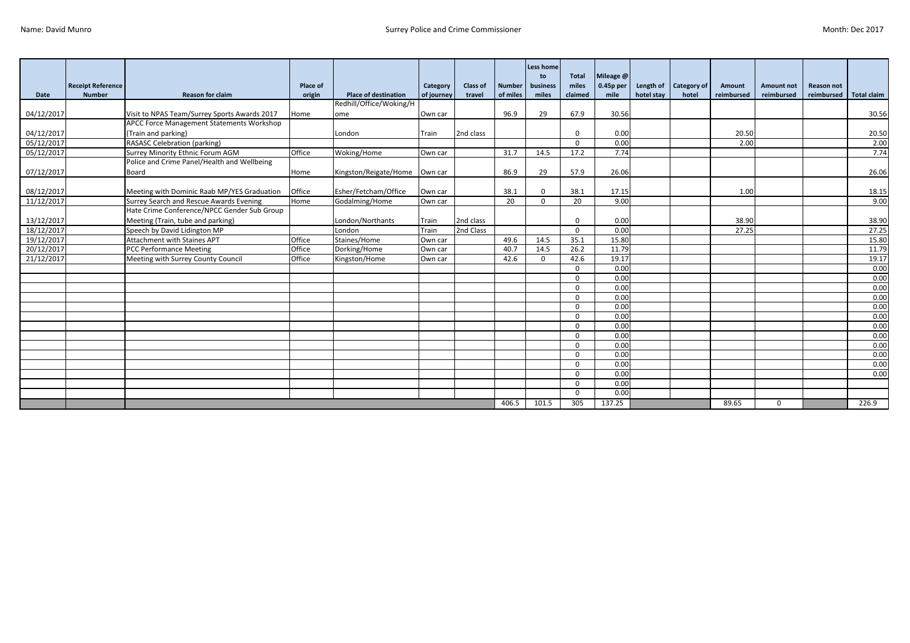|             |                          |                                              |                 |                             |            |                 |               | Less home<br>to | <b>Total</b> | Mileage @ |            |                    |            |                   |                   |                    |
|-------------|--------------------------|----------------------------------------------|-----------------|-----------------------------|------------|-----------------|---------------|-----------------|--------------|-----------|------------|--------------------|------------|-------------------|-------------------|--------------------|
|             | <b>Receipt Reference</b> |                                              | <b>Place of</b> |                             | Category   | <b>Class of</b> | <b>Number</b> | business        | miles        | 0.45p per | Length of  | <b>Category of</b> | Amount     | <b>Amount not</b> | <b>Reason not</b> |                    |
| <b>Date</b> | <b>Number</b>            | <b>Reason for claim</b>                      | origin          | <b>Place of destination</b> | of journey | travel          | of miles      | miles           | claimed      | mile      | hotel stav | hotel              | reimbursed | reimbursed        | reimbursed        | <b>Total claim</b> |
|             |                          |                                              |                 | Redhill/Office/Woking/H     |            |                 |               |                 |              |           |            |                    |            |                   |                   |                    |
| 04/12/2017  |                          | Visit to NPAS Team/Surrey Sports Awards 2017 | Home            | ome                         | Own car    |                 | 96.9          | 29              | 67.9         | 30.56     |            |                    |            |                   |                   | 30.56              |
|             |                          | APCC Force Management Statements Workshop    |                 |                             |            |                 |               |                 |              |           |            |                    |            |                   |                   |                    |
| 04/12/2017  |                          | (Train and parking)                          |                 | London                      | Train      | 2nd class       |               |                 | $\Omega$     | 0.00      |            |                    | 20.50      |                   |                   | 20.50              |
| 05/12/2017  |                          | <b>RASASC Celebration (parking)</b>          |                 |                             |            |                 |               |                 | $\Omega$     | 0.00      |            |                    | 2.00       |                   |                   | 2.00               |
| 05/12/2017  |                          | Surrey Minority Ethnic Forum AGM             | Office          | Woking/Home                 | Own car    |                 | 31.7          | 14.5            | 17.2         | 7.74      |            |                    |            |                   |                   | 7.74               |
|             |                          | Police and Crime Panel/Health and Wellbeing  |                 |                             |            |                 |               |                 |              |           |            |                    |            |                   |                   |                    |
| 07/12/2017  |                          | Board                                        | Home            | Kingston/Reigate/Home       | Own car    |                 | 86.9          | 29              | 57.9         | 26.06     |            |                    |            |                   |                   | 26.06              |
|             |                          |                                              |                 |                             |            |                 |               |                 |              |           |            |                    |            |                   |                   |                    |
| 08/12/2017  |                          | Meeting with Dominic Raab MP/YES Graduation  | Office          | Esher/Fetcham/Office        | Own car    |                 | 38.1          | $\Omega$        | 38.1         | 17.15     |            |                    | 1.00       |                   |                   | 18.15              |
| 11/12/2017  |                          | Surrey Search and Rescue Awards Evening      | Home            | Godalming/Home              | Own car    |                 | 20            | $\Omega$        | 20           | 9.00      |            |                    |            |                   |                   | 9.00               |
|             |                          | Hate Crime Conference/NPCC Gender Sub Group  |                 |                             |            |                 |               |                 |              |           |            |                    |            |                   |                   |                    |
| 13/12/2017  |                          | Meeting (Train, tube and parking)            |                 | London/Northants            | Train      | 2nd class       |               |                 | $\Omega$     | 0.00      |            |                    | 38.90      |                   |                   | 38.90              |
| 18/12/2017  |                          | Speech by David Lidington MP                 |                 | London                      | Train      | 2nd Class       |               |                 | $\Omega$     | 0.00      |            |                    | 27.25      |                   |                   | 27.25              |
| 19/12/2017  |                          | <b>Attachment with Staines APT</b>           | Office          | Staines/Home                | Own car    |                 | 49.6          | 14.5            | 35.1         | 15.80     |            |                    |            |                   |                   | 15.80              |
| 20/12/2017  |                          | PCC Performance Meeting                      | Office          | Dorking/Home                | Own car    |                 | 40.7          | 14.5            | 26.2         | 11.79     |            |                    |            |                   |                   | 11.79              |
| 21/12/2017  |                          | Meeting with Surrey County Council           | Office          | Kingston/Home               | Own car    |                 | 42.6          | $\Omega$        | 42.6         | 19.17     |            |                    |            |                   |                   | 19.17              |
|             |                          |                                              |                 |                             |            |                 |               |                 | $\Omega$     | 0.00      |            |                    |            |                   |                   | 0.00               |
|             |                          |                                              |                 |                             |            |                 |               |                 | $\Omega$     | 0.00      |            |                    |            |                   |                   | 0.00               |
|             |                          |                                              |                 |                             |            |                 |               |                 | $\Omega$     | 0.00      |            |                    |            |                   |                   | 0.00               |
|             |                          |                                              |                 |                             |            |                 |               |                 | $\Omega$     | 0.00      |            |                    |            |                   |                   | 0.00               |
|             |                          |                                              |                 |                             |            |                 |               |                 | $\Omega$     | 0.00      |            |                    |            |                   |                   | 0.00               |
|             |                          |                                              |                 |                             |            |                 |               |                 | $\Omega$     | 0.00      |            |                    |            |                   |                   | 0.00               |
|             |                          |                                              |                 |                             |            |                 |               |                 | $\Omega$     | 0.00      |            |                    |            |                   |                   | 0.00               |
|             |                          |                                              |                 |                             |            |                 |               |                 | $\Omega$     | 0.00      |            |                    |            |                   |                   | 0.00               |
|             |                          |                                              |                 |                             |            |                 |               |                 | $\Omega$     | 0.00      |            |                    |            |                   |                   | 0.00               |
|             |                          |                                              |                 |                             |            |                 |               |                 | $\Omega$     | 0.00      |            |                    |            |                   |                   | 0.00               |
|             |                          |                                              |                 |                             |            |                 |               |                 | $\Omega$     | 0.00      |            |                    |            |                   |                   | 0.00               |
|             |                          |                                              |                 |                             |            |                 |               |                 | $\Omega$     | 0.00      |            |                    |            |                   |                   | 0.00               |
|             |                          |                                              |                 |                             |            |                 |               |                 | $\Omega$     | 0.00      |            |                    |            |                   |                   |                    |
|             |                          |                                              |                 |                             |            |                 |               |                 | $\Omega$     | 0.00      |            |                    |            |                   |                   |                    |
|             |                          |                                              |                 |                             |            |                 | 406.5         | 101.5           | 305          | 137.25    |            |                    | 89.65      | $\mathbf 0$       |                   | 226.9              |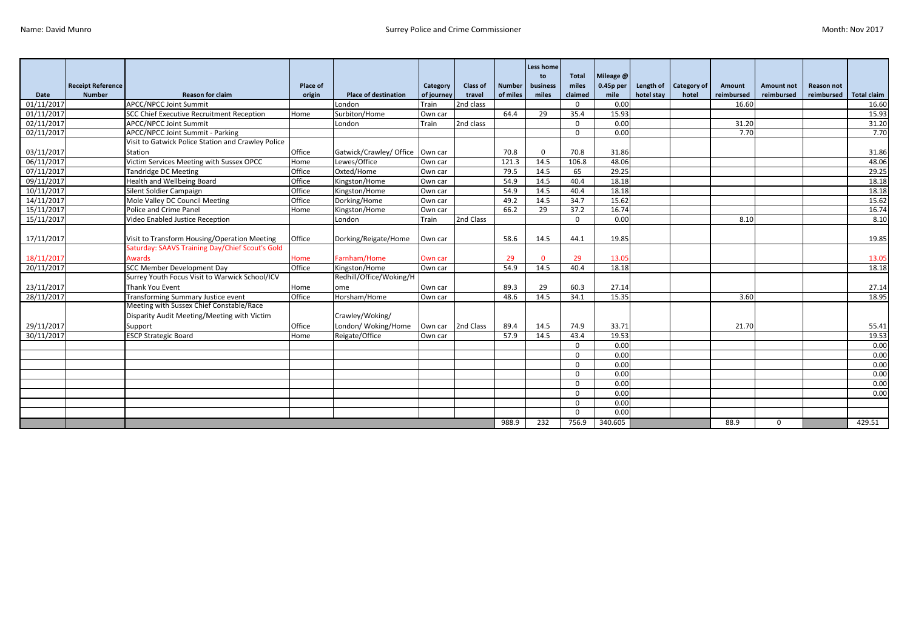|             |                          |                                                    |                 |                                   |                   |           |               | Less home<br>to | Total    | Mileage @   |            |                       |            |             |                   |                    |
|-------------|--------------------------|----------------------------------------------------|-----------------|-----------------------------------|-------------------|-----------|---------------|-----------------|----------|-------------|------------|-----------------------|------------|-------------|-------------------|--------------------|
|             | <b>Receipt Reference</b> |                                                    | <b>Place of</b> |                                   | Category          | Class of  | <b>Number</b> | business        | miles    | $0.45p$ per |            | Length of Category of | Amount     | Amount not  | <b>Reason not</b> |                    |
| <b>Date</b> | <b>Number</b>            | <b>Reason for claim</b>                            | origin          | <b>Place of destination</b>       | of journey        | travel    | of miles      | miles           | claimed  | mile        | hotel stay | hotel                 | reimbursed | reimbursed  | reimbursed        | <b>Total claim</b> |
| 01/11/201   |                          | APCC/NPCC Joint Summit                             |                 | London                            | Train             | 2nd class |               |                 | $\Omega$ | 0.00        |            |                       | 16.60      |             |                   | 16.60              |
| 01/11/2017  |                          | <b>SCC Chief Executive Recruitment Reception</b>   | Home            | Surbiton/Home                     | Own car           |           | 64.4          | 29              | 35.4     | 15.93       |            |                       |            |             |                   | 15.93              |
| 02/11/2017  |                          | <b>APCC/NPCC Joint Summit</b>                      |                 | London                            | Train             | 2nd class |               |                 | $\Omega$ | 0.00        |            |                       | 31.20      |             |                   | 31.20              |
| 02/11/2017  |                          | APCC/NPCC Joint Summit - Parking                   |                 |                                   |                   |           |               |                 | $\Omega$ | 0.00        |            |                       | 7.70       |             |                   | 7.70               |
|             |                          | Visit to Gatwick Police Station and Crawley Police |                 |                                   |                   |           |               |                 |          |             |            |                       |            |             |                   |                    |
| 03/11/2017  |                          | Station                                            | Office          | Gatwick/Crawley/ Office   Own car |                   |           | 70.8          | $\Omega$        | 70.8     | 31.86       |            |                       |            |             |                   | 31.86              |
| 06/11/2017  |                          | Victim Services Meeting with Sussex OPCC           | Home            | Lewes/Office                      | Own car           |           | 121.3         | 14.5            | 106.8    | 48.06       |            |                       |            |             |                   | 48.06              |
| 07/11/2017  |                          | Tandridge DC Meeting                               | Office          | Oxted/Home                        | Own car           |           | 79.5          | 14.5            | 65       | 29.25       |            |                       |            |             |                   | 29.25              |
| 09/11/2017  |                          | Health and Wellbeing Board                         | Office          | Kingston/Home                     | Own car           |           | 54.9          | 14.5            | 40.4     | 18.18       |            |                       |            |             |                   | 18.18              |
| 10/11/2017  |                          | Silent Soldier Campaign                            | Office          | Kingston/Home                     | Own car           |           | 54.9          | 14.5            | 40.4     | 18.18       |            |                       |            |             |                   | 18.18              |
| 14/11/2017  |                          | Mole Valley DC Council Meeting                     | Office          | Dorking/Home                      | Own car           |           | 49.2          | 14.5            | 34.7     | 15.62       |            |                       |            |             |                   | 15.62              |
| 15/11/2017  |                          | Police and Crime Panel                             | Home            | Kingston/Home                     | Own car           |           | 66.2          | 29              | 37.2     | 16.74       |            |                       |            |             |                   | 16.74              |
| 15/11/2017  |                          | Video Enabled Justice Reception                    |                 | London                            | Train             | 2nd Class |               |                 | $\Omega$ | 0.00        |            |                       | 8.10       |             |                   | 8.10               |
|             |                          |                                                    |                 |                                   |                   |           |               |                 |          |             |            |                       |            |             |                   |                    |
| 17/11/2017  |                          | Visit to Transform Housing/Operation Meeting       | Office          | Dorking/Reigate/Home              | Own car           |           | 58.6          | 14.5            | 44.1     | 19.85       |            |                       |            |             |                   | 19.85              |
|             |                          | Saturday: SAAVS Training Day/Chief Scout's Gold    |                 |                                   |                   |           |               |                 |          |             |            |                       |            |             |                   |                    |
| 18/11/2017  |                          | <b>Awards</b>                                      | Home            | Farnham/Home                      | Own car           |           | 29            | $\Omega$        | 29       | 13.05       |            |                       |            |             |                   | 13.05              |
| 20/11/2017  |                          | <b>SCC Member Development Day</b>                  | Office          | Kingston/Home                     | Own car           |           | 54.9          | 14.5            | 40.4     | 18.18       |            |                       |            |             |                   | 18.18              |
|             |                          | Surrey Youth Focus Visit to Warwick School/ICV     |                 | Redhill/Office/Woking/H           |                   |           |               |                 |          |             |            |                       |            |             |                   |                    |
| 23/11/2017  |                          | Thank You Event                                    | Home            | ome                               | Own car           |           | 89.3          | 29              | 60.3     | 27.14       |            |                       |            |             |                   | 27.14              |
| 28/11/2017  |                          | Transforming Summary Justice event                 | Office          | Horsham/Home                      | Own car           |           | 48.6          | 14.5            | 34.1     | 15.35       |            |                       | 3.60       |             |                   | 18.95              |
|             |                          | Meeting with Sussex Chief Constable/Race           |                 |                                   |                   |           |               |                 |          |             |            |                       |            |             |                   |                    |
|             |                          | Disparity Audit Meeting/Meeting with Victim        |                 | Crawley/Woking/                   |                   |           |               |                 |          |             |            |                       |            |             |                   |                    |
| 29/11/2017  |                          | Support                                            | Office          | London/ Woking/Home               | Own car 2nd Class |           | 89.4          | 14.5            | 74.9     | 33.71       |            |                       | 21.70      |             |                   | 55.41              |
| 30/11/2017  |                          | <b>ESCP Strategic Board</b>                        | Home            | Reigate/Office                    | Own car           |           | 57.9          | 14.5            | 43.4     | 19.53       |            |                       |            |             |                   | 19.53              |
|             |                          |                                                    |                 |                                   |                   |           |               |                 | $\Omega$ | 0.00        |            |                       |            |             |                   | 0.00               |
|             |                          |                                                    |                 |                                   |                   |           |               |                 | $\Omega$ | 0.00        |            |                       |            |             |                   | 0.00               |
|             |                          |                                                    |                 |                                   |                   |           |               |                 | $\Omega$ | 0.00        |            |                       |            |             |                   | 0.00               |
|             |                          |                                                    |                 |                                   |                   |           |               |                 | $\Omega$ | 0.00        |            |                       |            |             |                   | 0.00               |
|             |                          |                                                    |                 |                                   |                   |           |               |                 | $\Omega$ | 0.00        |            |                       |            |             |                   | 0.00               |
|             |                          |                                                    |                 |                                   |                   |           |               |                 | $\Omega$ | 0.00        |            |                       |            |             |                   | 0.00               |
|             |                          |                                                    |                 |                                   |                   |           |               |                 | $\Omega$ | 0.00        |            |                       |            |             |                   |                    |
|             |                          |                                                    |                 |                                   |                   |           |               |                 | $\Omega$ | 0.00        |            |                       |            |             |                   |                    |
|             |                          |                                                    |                 |                                   |                   |           | 988.9         | 232             | 756.9    | 340.605     |            |                       | 88.9       | $\mathbf 0$ |                   | 429.51             |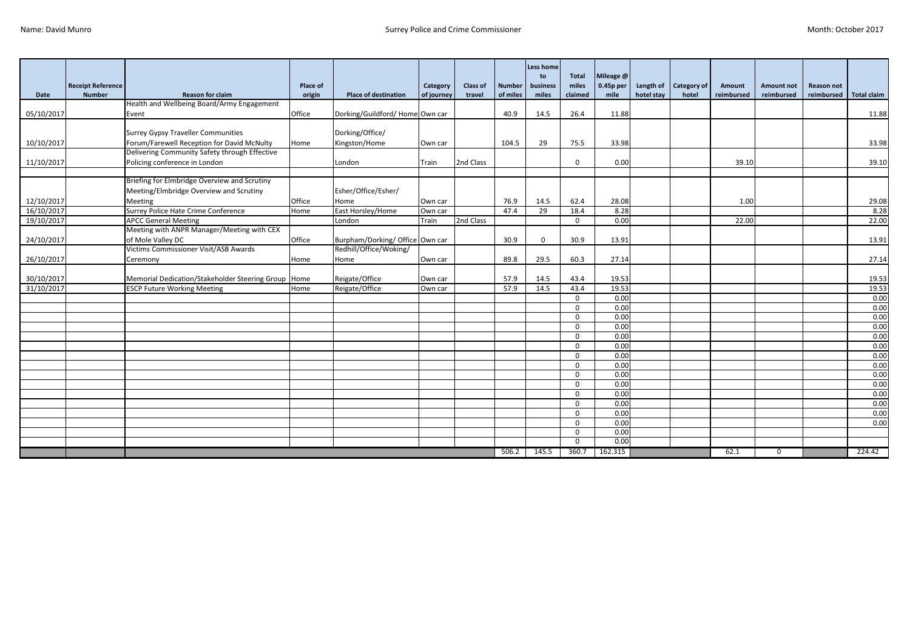|            |                          |                                                                                             |          |                                                           |                    |           |               | <b>Less home</b><br>to | <b>Total</b> | Mileage @ |            |                    |            |                   |            |                    |
|------------|--------------------------|---------------------------------------------------------------------------------------------|----------|-----------------------------------------------------------|--------------------|-----------|---------------|------------------------|--------------|-----------|------------|--------------------|------------|-------------------|------------|--------------------|
|            | <b>Receipt Reference</b> |                                                                                             | Place of |                                                           | Category           | Class of  | <b>Number</b> | business               | miles        | 0.45p per | Length of  | <b>Category of</b> | Amount     | <b>Amount not</b> | Reason not |                    |
| Date       | <b>Number</b>            | <b>Reason for claim</b>                                                                     | origin   | <b>Place of destination</b>                               | of journey         | travel    | of miles      | miles                  | claimed      | mile      | hotel stay | hotel              | reimbursed | reimbursed        | reimbursed | <b>Total claim</b> |
|            |                          | Health and Wellbeing Board/Army Engagement                                                  |          |                                                           |                    |           |               |                        |              |           |            |                    |            |                   |            |                    |
| 05/10/2017 |                          | Event                                                                                       | Office   | Dorking/Guildford/Home Own car                            |                    |           | 40.9          | 14.5                   | 26.4         | 11.88     |            |                    |            |                   |            | 11.88              |
|            |                          |                                                                                             |          |                                                           |                    |           |               |                        |              |           |            |                    |            |                   |            |                    |
|            |                          | <b>Surrey Gypsy Traveller Communities</b>                                                   |          | Dorking/Office/                                           |                    |           |               |                        |              |           |            |                    |            |                   |            |                    |
| 10/10/2017 |                          | Forum/Farewell Reception for David McNulty                                                  | Home     | Kingston/Home                                             | Own car            |           | 104.5         | 29                     | 75.5         | 33.98     |            |                    |            |                   |            | 33.98              |
|            |                          | Delivering Community Safety through Effective                                               |          |                                                           |                    |           |               |                        |              |           |            |                    |            |                   |            |                    |
| 11/10/2017 |                          | Policing conference in London                                                               |          | London                                                    | Train              | 2nd Class |               |                        | $\mathbf{0}$ | 0.00      |            |                    | 39.10      |                   |            | 39.10              |
|            |                          | Briefing for Elmbridge Overview and Scrutiny                                                |          |                                                           |                    |           |               |                        |              |           |            |                    |            |                   |            |                    |
|            |                          |                                                                                             |          |                                                           |                    |           |               |                        |              |           |            |                    |            |                   |            |                    |
|            |                          | Meeting/Elmbridge Overview and Scrutiny                                                     |          | Esher/Office/Esher/                                       |                    |           |               |                        |              |           |            |                    |            |                   |            |                    |
| 12/10/2017 |                          | Meeting                                                                                     | Office   | Home                                                      | Own car            |           | 76.9          | 14.5                   | 62.4         | 28.08     |            |                    | 1.00       |                   |            | 29.08              |
| 16/10/2017 |                          | Surrey Police Hate Crime Conference                                                         | Home     | East Horsley/Home                                         | Own car            |           | 47.4          | 29                     | 18.4         | 8.28      |            |                    |            |                   |            | 8.28               |
| 19/10/2017 |                          | <b>APCC General Meeting</b><br>Meeting with ANPR Manager/Meeting with CEX                   |          | London                                                    | Train              | 2nd Class |               |                        | $\mathbf{0}$ | 0.00      |            |                    | 22.00      |                   |            | 22.00              |
|            |                          |                                                                                             |          |                                                           |                    |           |               |                        |              |           |            |                    |            |                   |            |                    |
| 24/10/2017 |                          | of Mole Valley DC<br>Victims Commissioner Visit/ASB Awards                                  | Office   | Burpham/Dorking/ Office Own car<br>Redhill/Office/Woking/ |                    |           | 30.9          | $\mathbf{0}$           | 30.9         | 13.91     |            |                    |            |                   |            | 13.91              |
|            |                          |                                                                                             |          |                                                           |                    |           |               |                        |              |           |            |                    |            |                   |            |                    |
| 26/10/2017 |                          | Ceremony                                                                                    | Home     | Home                                                      | Own car            |           | 89.8          | 29.5                   | 60.3         | 27.14     |            |                    |            |                   |            | 27.14              |
| 30/10/2017 |                          |                                                                                             |          | Reigate/Office                                            |                    |           | 57.9          | 14.5                   | 43.4         | 19.53     |            |                    |            |                   |            | 19.53              |
| 31/10/2017 |                          | Memorial Dedication/Stakeholder Steering Group   Home<br><b>ESCP Future Working Meeting</b> | Home     | Reigate/Office                                            | Own car<br>Own car |           | 57.9          | 14.5                   | 43.4         | 19.53     |            |                    |            |                   |            | 19.53              |
|            |                          |                                                                                             |          |                                                           |                    |           |               |                        | $\mathbf{0}$ | 0.00      |            |                    |            |                   |            | 0.00               |
|            |                          |                                                                                             |          |                                                           |                    |           |               |                        | $\Omega$     | 0.00      |            |                    |            |                   |            | 0.00               |
|            |                          |                                                                                             |          |                                                           |                    |           |               |                        | $\mathbf{0}$ | 0.00      |            |                    |            |                   |            | 0.00               |
|            |                          |                                                                                             |          |                                                           |                    |           |               |                        | $\Omega$     | 0.00      |            |                    |            |                   |            | 0.00               |
|            |                          |                                                                                             |          |                                                           |                    |           |               |                        | $\Omega$     | 0.00      |            |                    |            |                   |            | 0.00               |
|            |                          |                                                                                             |          |                                                           |                    |           |               |                        | $\Omega$     | 0.00      |            |                    |            |                   |            | 0.00               |
|            |                          |                                                                                             |          |                                                           |                    |           |               |                        | $\Omega$     | 0.00      |            |                    |            |                   |            | 0.00               |
|            |                          |                                                                                             |          |                                                           |                    |           |               |                        | $\mathbf{0}$ | 0.00      |            |                    |            |                   |            | 0.00               |
|            |                          |                                                                                             |          |                                                           |                    |           |               |                        | $\Omega$     | 0.00      |            |                    |            |                   |            | 0.00               |
|            |                          |                                                                                             |          |                                                           |                    |           |               |                        | $\mathbf{0}$ | 0.00      |            |                    |            |                   |            | 0.00               |
|            |                          |                                                                                             |          |                                                           |                    |           |               |                        | $\mathbf 0$  | 0.00      |            |                    |            |                   |            | 0.00               |
|            |                          |                                                                                             |          |                                                           |                    |           |               |                        | $\Omega$     | 0.00      |            |                    |            |                   |            | 0.00               |
|            |                          |                                                                                             |          |                                                           |                    |           |               |                        | $\mathbf{0}$ | 0.00      |            |                    |            |                   |            | 0.00               |
|            |                          |                                                                                             |          |                                                           |                    |           |               |                        | $\Omega$     | 0.00      |            |                    |            |                   |            | 0.00               |
|            |                          |                                                                                             |          |                                                           |                    |           |               |                        | $\Omega$     | 0.00      |            |                    |            |                   |            |                    |
|            |                          |                                                                                             |          |                                                           |                    |           |               |                        | $\Omega$     | 0.00      |            |                    |            |                   |            |                    |
|            |                          |                                                                                             |          |                                                           |                    |           | 506.2         | 145.5                  | 360.7        | 162.315   |            |                    | 62.1       | $\mathbf 0$       |            | 224.42             |